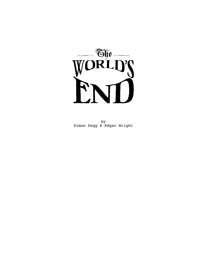

by Simon Pegg & Edgar Wright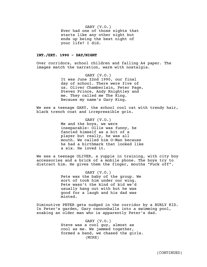GARY (V.O.) Ever had one of those nights that starts like any other night but ends up being the best night of your life? I did.

# **INT./EXT. 1990 - DAY/NIGHT**

Over corridors, school children and falling A4 paper. The images match the narration, warm with nostalgia.

> GARY (V.O.) It was June 22nd 1990, our final day of school. There were five of us. Oliver Chamberlain, Peter Page, Steven Prince, Andy Knightley and me. They called me The King. Because my name's Gary King.

We see a teenage GARY, the school cool cat with trendy hair, black trench coat and irrepressible grin.

> GARY (V.O.) Me and the boys, we were inseparable: Ollie was funny, he fancied himself as a bit of a player but really, he was all mouth. We called him O-Man because he had a birthmark that looked like a six. He loved it.

We see a teenage OLIVER, a yuppie in training, with city boy accessories and a brick of a mobile phone. The boys try to distract him. He gives them the finger, mouths "Fuck off".

> GARY (V.O.) Pete was the baby of the group. We sort of took him under our wing. Pete wasn't the kind of kid we'd usually hang out with but he was good for a laugh and his dad was minted.

Diminutive PETER gets nudged in the corridor by a BURLY KID. In Peter's garden, Gary cannonballs into a swimming pool, soaking an older man who is apparently Peter's dad.

> GARY (V.O.) Steve was a cool guy, almost as cool as me. We jammed together, formed a band, we chased the girls. (MORE)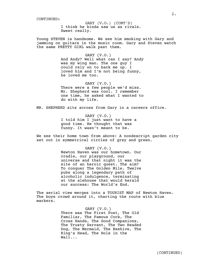I think he kinda saw us as rivals. Sweet really. GARY (V.O.) (CONT'D)

Young STEVEN is handsome. We see him smoking with Gary and jamming on guitars in the music room. Gary and Steven watch the same PRETTY GIRL walk past them.

> GARY (V.O.) And Andy? Well what can I say? Andy was my wing man. The one guy I could rely on to back me up. I loved him and I'm not being funny, he loved me too.

> GARY (V.O.) There were a few people we'd miss. Mr. Shepherd was cool. I remember one time, he asked what I wanted to do with my life.

MR. SHEPHERD sits across from Gary in a careers office.

GARY (V.O.) I told him I just want to have a good time. He thought that was funny. It wasn't meant to be.

We see their home town from above: A nondescript garden city set out in symmetrical circles of grey and green.

> GARY (V.O.) Newton Haven was our hometown. Our cradle, our playground, our universe and that night it was the site of an heroic quest. The aim? To conquer The Golden Mile. Twelve pubs along a legendary path of alcoholic indulgence, terminating at the alehouse that would herald our success: The World's End.

The aerial view merges into a TOURIST MAP of Newton Haven. The boys crowd around it, charting the route with blue markers.

> GARY (V.O.) There was The First Post, The Old Familiar, The Famous Cock, The Cross Hands, The Good Companions, The Trusty Servant, The Two Headed Dog, The Mermaid, The Beehive, The King's Head, The Hole in the Wall...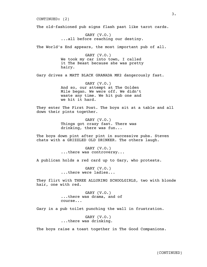CONTINUED: (2)

The old-fashioned pub signs flash past like tarot cards.

GARY (V.O.) ...all before reaching our destiny.

The World's End appears, the most important pub of all.

GARY (V.O.) We took my car into town, I called it The Beast because she was pretty hairy.

Gary drives a MATT BLACK GRANADA MK2 dangerously fast.

GARY (V.O.) And so, our attempt at The Golden Mile began. We were off. We didn't waste any time. We hit pub one and we hit it hard.

They enter The First Post. The boys sit at a table and all down their pints together.

> GARY (V.O.) Things got crazy fast. There was drinking, there was fun...

The boys down pint after pint in successive pubs. Steven chats with a GRIZZLED OLD DRINKER. The others laugh.

> GARY (V.O.) ...there was controversy...

A publican holds a red card up to Gary, who protests.

GARY (V.O.) ...there were ladies...

They flirt with THREE ALLURING SCHOOLGIRLS, two with blonde hair, one with red.

> GARY (V.O.) ...there was drama, and of course...

Gary in a pub toilet punching the wall in frustration.

GARY (V.O.) ...there was drinking.

The boys raise a toast together in The Good Companions.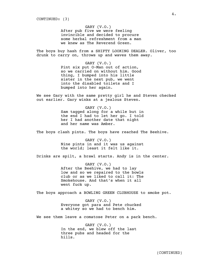CONTINUED: (3)

GARY (V.O.) After pub five we were feeling invincible and decided to procure some herbal refreshment from a man we knew as The Reverend Green.

The boys buy hash from a SHIFTY LOOKING DEALER. Oliver, too drunk to carry on, throws up and waves them away.

> GARY (V.O.) Pint six put O-Man out of action, so we carried on without him. Good thing, I bumped into his little sister in the next pub, we went into the disabled toilets and I bumped into her again.

We see Gary with the same pretty girl he and Steven checked out earlier. Gary winks at a jealous Steven.

> GARY (V.O.) Sam tagged along for a while but in the end I had to let her go. I told her I had another date that night and her name was Amber.

The boys clash pints. The boys have reached The Beehive.

GARY (V.O.) Nine pints in and it was us against the world; least it felt like it.

Drinks are spilt, a brawl starts. Andy is in the center.

GARY (V.O.) After the Beehive, we had to lay low and so we repaired to the bowls club or as we liked to call it: The Smokehouse. And that's when it all went fuck up.

The boys approach a BOWLING GREEN CLUBHOUSE to smoke pot.

GARY (V.O.) Everyone got para and Pete chucked a whitey so we had to bench him.

We see them leave a comatose Peter on a park bench.

GARY (V.O.) In the end, we blew off the last three pubs and headed for the hills.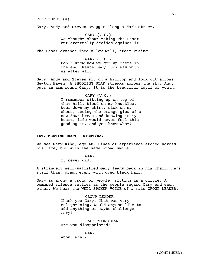CONTINUED: (4)

Gary, Andy and Steven stagger along a dark street.

GARY (V.O.) We thought about taking The Beast but eventually decided against it.

The Beast crashes into a low wall, steam rising.

GARY (V.O.) Don't know how we got up there in the end. Maybe Lady Luck was with us after all.

Gary, Andy and Steven sit on a hilltop and look out across Newton Haven. A SHOOTING STAR streaks across the sky. Andy puts an arm round Gary. It is the beautiful idyll of youth.

> GARY (V.O.) I remember sitting up on top of that hill, blood on my knuckles, beer down my shirt, sick on my shoes, seeing the orange glow of a new dawn break and knowing in my heart, life would never feel this good again. And you know what?

### **INT. MEETING ROOM - NIGHT/DAY**

We see Gary King, age 40. Lines of experience etched across his face, but with the same broad smile.

# GARY

It never did.

A strangely self-satisfied Gary leans back in his chair. He's still thin, drawn even, with dyed black hair.

Gary is among a group of people, sitting in a circle. A bemused silence settles as the people regard Gary and each other. We hear the WELL SPOKEN VOICE of a male GROUP LEADER.

> GROUP LEADER Thank you Gary. That was very enlightening. Would anyone like to add anything or maybe challenge Gary?

PALE YOUNG MAN Are you disappointed?

GARY About what?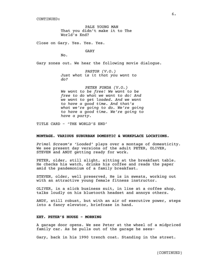PALE YOUNG MAN That you didn't make it to The World's End?

Close on Gary. Yes. Yes. Yes.

GARY

No.

Gary zones out. We hear the following movie dialogue.

*PASTOR (V.O.) Just what is it that you want to do?*

*PETER FONDA (V.O.) We want to be free! We want to be free to do what we want to do! And we want to get loaded. And we want to have a good time. And that's what we're going to do. We're going to have a good time. We're going to have a party.*

TITLE CARD - 'THE WORLD'S END'

#### **MONTAGE. VARIOUS SUBURBAN DOMESTIC & WORKPLACE LOCATIONS.**

*Primal Scream's 'Loaded'* plays over a montage of domesticity. We see present day versions of the adult PETER, OLIVER, STEVEN and ANDY getting ready for work.

PETER, older, still slight, sitting at the breakfast table. He checks his watch, drinks his coffee and reads the paper amid the pandemonium of a family breakfast.

STEVEN, older, well preserved. He is in sweats, working out with an attractive young female fitness instructor.

OLIVER, in a slick business suit, in line at a coffee shop, talks loudly on his bluetooth headset and annoys others.

ANDY, still robust, but with an air of executive power, steps into a fancy elevator, briefcase in hand.

# **EXT. PETER'S HOUSE - MORNING**

A garage door opens. We see Peter at the wheel of a midpriced family car. As he pulls out of the garage he sees-

Gary, back in his 1990 trench coat. Standing in the street.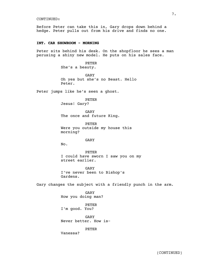Before Peter can take this in, Gary drops down behind a hedge. Peter pulls out from his drive and finds no one.

# **INT. CAR SHOWROOM - MORNING**

Peter sits behind his desk. On the shopfloor he sees a man perusing a shiny new model. He puts on his sales face.

> PETER She's a beauty.

GARY Oh yes but she's no Beast. Hello Peter.

Peter jumps like he's seen a ghost.

PETER Jesus! Gary?

GARY The once and future King.

PETER Were you outside my house this morning?

### GARY

No.

PETER I could have sworn I saw you on my street earlier.

GARY I've never been to Bishop's Gardens.

Gary changes the subject with a friendly punch in the arm.

GARY How you doing man?

PETER I'm good. You?

GARY Never better. How is-

PETER

Vanessa?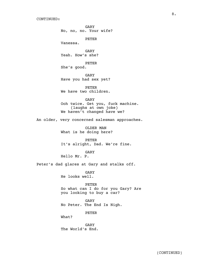GARY No, no, no. Your wife?

PETER

Vanessa.

GARY Yeah. How's she?

PETER She's good.

GARY Have you had sex yet?

PETER We have two children.

GARY

Ooh twice. Get you, fuck machine. (laughs at own joke) We haven't changed have we?

An older, very concerned salesman approaches.

OLDER MAN What is he doing here?

PETER It's alright, Dad. We're fine.

GARY

Hello Mr. P.

Peter's dad glares at Gary and stalks off.

GARY He looks well.

PETER So what can I do for you Gary? Are you looking to buy a car?

GARY No Peter. The End Is Nigh.

PETER

What?

GARY The World's End.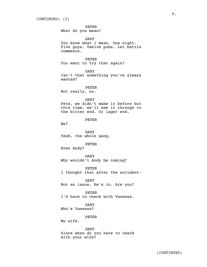PETER

What do you mean?

GARY You know what I mean. One night. Five guys. Twelve pubs. Let battle commence.

PETER

You want to try that again?

GARY

Isn't that something you've always wanted?

PETER Not really, no.

GARY

Pete, we didn't make it before but this time, we'll see it through to the bitter end. Or lager end.

PETER

We?

GARY Yeah, the whole gang.

PETER

Even Andy?

GARY Why wouldn't Andy be coming?

PETER I thought that after the accident-

GARY Not an issue. He's in. Are you?

PETER I'd have to check with Vanessa.

GARY Who's Vanessa?

PETER

My wife.

GARY Since when do you have to check with your wife?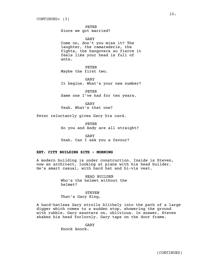PETER Since we got married?

GARY Come on, don't you miss it? The laughter, the camaraderie, the fights, the hangovers so fierce it feels like your head is full of ants.

PETER Maybe the first two.

GARY It begins. What's your new number?

PETER Same one I've had for ten years.

GARY Yeah. What's that one?

Peter reluctantly gives Gary his card.

PETER So you and Andy are all straight?

GARY Yeah. Can I ask you a favour?

# **EXT. CITY BUILDING SITE - MORNING**

A modern building is under construction. Inside is Steven, now an architect, looking at plans with his head builder. He's smart casual, with hard hat and hi-vis vest.

> HEAD BUILDER Who's the helmet without the helmet?

STEVEN That's Gary King.

A hard-hatless Gary strolls blithely into the path of a large digger which comes to a sudden stop, showering the ground with rubble. Gary saunters on, oblivious. In answer, Steven shakes his head forlornly. Gary taps on the door frame.

> GARY Knock knock.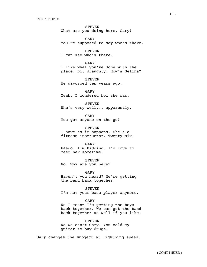STEVEN What are you doing here, Gary?

GARY You're supposed to say who's there.

STEVEN

I can see who's there.

GARY

I like what you've done with the place. Bit draughty. How's Selina?

STEVEN We divorced ten years ago.

GARY Yeah, I wondered how she was.

STEVEN She's very well... apparently.

GARY You got anyone on the go?

STEVEN I have as it happens. She's a fitness instructor. Twenty-six.

GARY Paedo. I'm kidding. I'd love to

meet her sometime.

STEVEN No. Why are you here?

GARY Haven't you heard? We're getting the band back together.

STEVEN I'm not your bass player anymore.

GARY

No I meant I'm getting the boys back together. We can get the band back together as well if you like.

STEVEN No we can't Gary. You sold my guitar to buy drugs.

Gary changes the subject at lightning speed.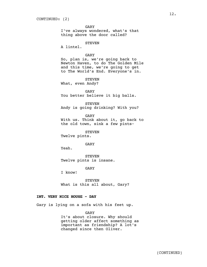GARY

I've always wondered, what's that thing above the door called?

STEVEN

A lintel.

### GARY

So, plan is, we're going back to Newton Haven, to do The Golden Mile and this time, we're going to get to The World's End. Everyone's in.

**STEVEN** 

What, even Andy?

GARY You better believe it big balls.

STEVEN Andy is going drinking? With you?

GARY With us. Think about it, go back to the old town, sink a few pints-

STEVEN

Twelve pints.

GARY

Yeah.

STEVEN Twelve pints is insane.

GARY

I know!

STEVEN What is this all about, Gary?

# **INT. VERY NICE HOUSE - DAY**

Gary is lying on a sofa with his feet up.

GARY It's about closure. Why should getting older affect something as important as friendship? A lot's changed since then Oliver.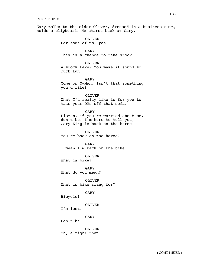Gary talks to the older Oliver, dressed in a business suit, holds a clipboard. He stares back at Gary.

> OLIVER For some of us, yes.

GARY This is a chance to take stock.

OLIVER A stock take? You make it sound so much fun.

GARY Come on O-Man. Isn't that something you'd like?

OLIVER What I'd really like is for you to take your DMs off that sofa.

GARY

Listen, if you're worried about me, don't be. I'm here to tell you, Gary King is back on the horse.

OLIVER You're back on the horse?

GARY I mean I'm back on the bike.

OLIVER What is bike?

GARY What do you mean?

OLIVER What is bike slang for?

GARY

Bicycle?

OLIVER

I'm lost.

GARY

Don't be.

OLIVER Oh, alright then.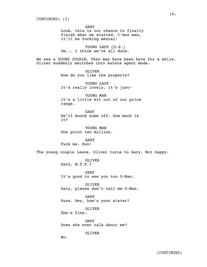GARY

Look, this is our chance to finally finish what we started. C'mon man, it'll be fucking mental!

YOUNG LADY (O.S.) Um... I think we're all done.

We see a YOUNG COUPLE. They may have been here for a while. Oliver suddenly switches into estate agent mode.

> OLIVER How do you like the property?

YOUNG LADY It's really lovely. It's just-

YOUNG MAN It's a little bit out of our price range.

GARY He'll knock some off. How much is it?

YOUNG MAN One point two million.

GARY Fuck me. Run!

The young couple leave. Oliver turns to Gary. Not happy.

OLIVER Gary, W.T.F.?

GARY It's good to see you too O-Man.

OLIVER Gary, please don't call me O-Man.

GARY Sure. Hey, how's your sister?

OLIVER

She's fine.

GARY Does she ever talk about me?

OLIVER

No.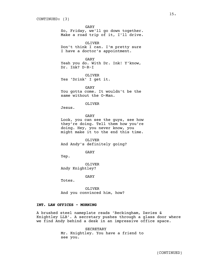GARY

So, Friday, we'll go down together. Make a road trip of it, I'll drive.

OLIVER Don't think I can. I'm pretty sure I have a doctor's appointment.

GARY Yeah you do. With Dr. Ink! Y'know, Dr. Ink? D-R-I

OLIVER Yes 'Drink' I get it.

GARY You gotta come. It wouldn't be the same without the O-Man.

OLIVER

Jesus.

GARY

Look, you can see the guys, see how they're doing. Tell them how you're doing. Hey, you never know, you might make it to the end this time.

OLIVER And Andy's definitely going?

GARY

Yep.

OLIVER Andy Knightley?

GARY

Totes.

OLIVER And you convinced him, how?

# **INT. LAW OFFICES - MORNING**

A brushed steel nameplate reads 'Beckingham, Davies & Knightley LLB'. A secretary pushes through a glass door where we find Andy behind a desk in an impressive office space.

> SECRETARY Mr. Knightley. You have a friend to see you.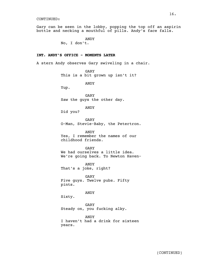Gary can be seen in the lobby, popping the top off an aspirin bottle and necking a mouthful of pills. Andy's face falls.

> ANDY No, I don't.

### **INT. ANDY'S OFFICE - MOMENTS LATER**

A stern Andy observes Gary swiveling in a chair.

GARY

This is a bit grown up isn't it?

ANDY

Yup.

GARY Saw the guys the other day.

ANDY

Did you?

GARY O-Man, Stevie-Baby, the Petertron.

ANDY Yes, I remember the names of our childhood friends.

GARY We had ourselves a little idea.

We're going back. To Newton Haven-

ANDY That's a joke, right?

GARY Five guys. Twelve pubs. Fifty pints.

ANDY

Sixty.

GARY Steady on, you fucking alky.

ANDY I haven't had a drink for sixteen years.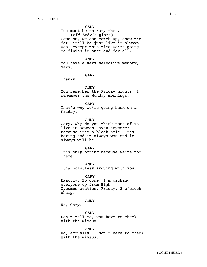GARY

You must be thirsty then. (off Andy's glare) Come on, we can catch up, chew the fat, it'll be just like it always was, except this time we're going to finish it once and for all.

### ANDY

You have a very selective memory, Gary.

GARY

Thanks.

ANDY

You remember the Friday nights. I remember the Monday mornings.

GARY

That's why we're going back on a Friday.

ANDY

Gary, why do you think none of us live in Newton Haven anymore? Because it's a black hole. It's boring and it always was and it always will be.

#### GARY

It's only boring because we're not there.

ANDY It's pointless arguing with you.

GARY Exactly. So come. I'm picking everyone up from High

Wycombe station, Friday, 3 o'clock sharp.

# ANDY

No, Gary.

GARY Don't tell me, you have to check with the missus?

ANDY No, actually, I don't have to check with the missus.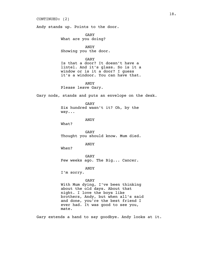## CONTINUED: (2)

Andy stands up. Points to the door.

GARY What are you doing?

ANDY Showing you the door.

GARY

Is that a door? It doesn't have a lintel. And it's glass. So is it a window or is it a door? I guess it's a windoor. You can have that.

ANDY Please leave Gary.

Gary nods, stands and puts an envelope on the desk.

GARY

Six hundred wasn't it? Oh, by the way...

ANDY

What?

GARY Thought you should know. Mum died.

ANDY

When?

GARY Few weeks ago. The Big... Cancer.

ANDY

I'm sorry.

#### GARY

With Mum dying, I've been thinking about the old days. About that night. I love the boys like brothers, Andy, but when all's said and done, you're the best friend I ever had. It was good to see you, mate.

Gary extends a hand to say goodbye. Andy looks at it.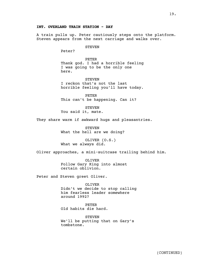# **INT. OVERLAND TRAIN STATION - DAY**

A train pulls up. Peter cautiously steps onto the platform. Steven appears from the next carriage and walks over.

# STEVEN

Peter?

# PETER

Thank god. I had a horrible feeling I was going to be the only one here.

STEVEN I reckon that's not the last horrible feeling you'll have today.

PETER This can't be happening. Can it?

STEVEN You said it, mate.

They share warm if awkward hugs and pleasantries.

STEVEN What the hell are we doing?

OLIVER (O.S.) What we always did.

Oliver approaches, a mini-suitcase trailing behind him.

OLIVER Follow Gary King into almost certain oblivion.

Peter and Steven greet Oliver.

OLIVER Didn't we decide to stop calling him fearless leader somewhere around 1992?

PETER Old habits die hard.

STEVEN We'll be putting that on Gary's tombstone.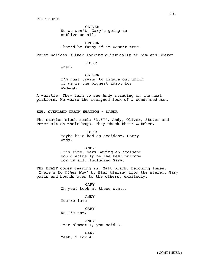OLIVER No we won't. Gary's going to outlive us all.

STEVEN That'd be funny if it wasn't true.

Peter notices Oliver looking quizzically at him and Steven.

PETER

What?

OLIVER I'm just trying to figure out which of us is the biggest idiot for coming.

A whistle. They turn to see Andy standing on the next platform. He wears the resigned look of a condemned man.

# **EXT. OVERLAND TRAIN STATION - LATER**

The station clock reads '3.57'. Andy, Oliver, Steven and Peter sit on their bags. They check their watches.

> PETER Maybe he's had an accident. Sorry Andy.

ANDY It's fine. Gary having an accident would actually be the best outcome for us all. Including Gary.

THE BEAST comes tearing in. Matt black. Belching fumes. *'There's No Other Way'* by Blur blaring from the stereo. Gary parks and bounds over to the others, excitedly.

> GARY Oh yes! Look at these cunts.

ANDY You're late.

GARY No I'm not.

ANDY It's almost 4, you said 3.

GARY Yeah, 3 for 4.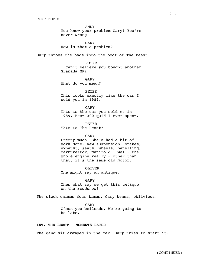ANDY You know your problem Gary? You're never wrong.

GARY How is that a problem?

Gary throws the bags into the boot of The Beast.

PETER I can't believe you bought another Granada MK2.

GARY What do you mean?

PETER This looks exactly like the car I sold you in 1989.

GARY *This is* the car you sold me in 1989. Best 300 quid I ever spent.

PETER *This is* The Beast?

### GARY

Pretty much. She's had a bit of work done. New suspension, brakes, exhaust, seats, wheels, panelling, carburettor, manifold - well, the whole engine really - other than that, it's the same old motor.

OLIVER One might say an antique.

GARY Then what say we get this *antique* on the *roadshow?*

The clock chimes four times. Gary beams, oblivious.

GARY C'mon you bellends. We're going to be late.

# **INT. THE BEAST - MOMENTS LATER**

The gang sit cramped in the car. Gary tries to start it.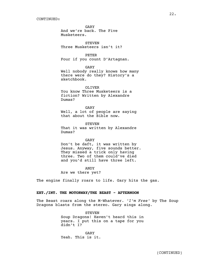GARY And we're back. The Five Musketeers.

STEVEN Three Musketeers isn't it?

PETER Four if you count D'Artagnan.

GARY Well nobody really knows how many there were do they? History's a sketchbook.

OLIVER You know Three Musketeers is a fiction? Written by Alexandre Dumas?

GARY Well, a lot of people are saying that about the Bible now.

STEVEN That it was written by Alexandre Dumas?

GARY Don't be daft, it was written by Jesus. Anyway, five sounds better. They missed a trick only having three. Two of them could've died and you'd still have three left.

ANDY

Are we there yet?

The engine finally roars to life. Gary hits the gas.

# **EXT./INT. THE MOTORWAY/THE BEAST - AFTERNOON**

The Beast roars along the M-Whatever. *'I'm Free'* by The Soup Dragons blasts from the stereo. Gary sings along.

> STEVEN Soup Dragons! Haven't heard this in years. I put this on a tape for you didn't I?

GARY Yeah. This is it.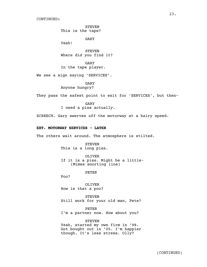STEVEN This is the tape?

GARY

Yeah!

STEVEN Where did you find it?

GARY In the tape player.

We see a sign saying 'SERVICES'.

GARY Anyone hungry?

They pass the safest point to exit for 'SERVICES', but then-

GARY

I need a piss actually.

SCREECH. Gary swerves off the motorway at a hairy speed.

# **EXT. MOTORWAY SERVICES - LATER**

The others wait around. The atmosphere is stilted.

STEVEN This is a long piss.

OLIVER If it is a piss. Might be a little- (Mimes snorting line)

PETER

Poo?

OLIVER How is that a poo?

STEVEN Still work for your old man, Pete?

PETER I'm a partner now. How about you?

STEVEN Yeah, started my own firm in '98. Got bought out in '05. I'm happier though. It's less stress. Olly?

23.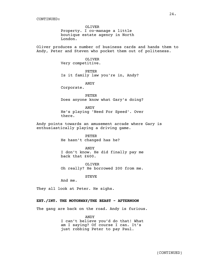OLIVER Property. I co-manage a little boutique estate agency in North London.

Oliver produces a number of business cards and hands them to Andy, Peter and Steven who pocket them out of politeness.

> OLIVER Very competitive.

PETER Is it family law you're in, Andy?

ANDY

Corporate.

PETER Does anyone know what Gary's doing?

ANDY He's playing 'Need For Speed'. Over there.

Andy points towards an amusement arcade where Gary is enthusiastically playing a driving game.

> PETER He hasn't changed has he?

ANDY I don't know. He did finally pay me back that £600.

OLIVER Oh really? He borrowed 200 from me.

STEVE

And me.

They all look at Peter. He sighs.

# **EXT./INT. THE MOTORWAY/THE BEAST - AFTERNOON**

The gang are back on the road. Andy is furious.

ANDY

I can't believe you'd do that! What am I saying? Of course I can. It's just robbing Peter to pay Paul.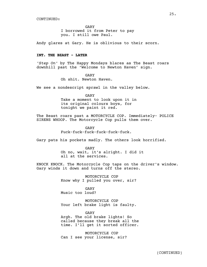GARY I borrowed it from Peter to pay you. I still owe Paul.

Andy glares at Gary. He is oblivious to their scorn.

# **INT. THE BEAST - LATER**

*'Step On'* by The Happy Mondays blares as The Beast roars downhill past the 'Welcome to Newton Haven' sign.

> GARY Oh shit. Newton Haven.

We see a nondescript sprawl in the valley below.

GARY Take a moment to look upon it in its original colours boys, for tonight we paint it red.

The Beast roars past a MOTORCYCLE COP. Immediately- POLICE SIRENS WHOOP. The Motorcycle Cop pulls them over.

> GARY Fuck-fuck-fuck-fuck-fuck-fuck.

Gary pats his pockets madly. The others look horrified.

GARY Oh no, wait, it's alright. I did it all at the services.

KNOCK KNOCK. The Motorcycle Cop taps on the driver's window. Gary winds it down and turns off the stereo.

> MOTORCYCLE COP Know why I pulled you over, sir?

GARY Music too loud?

MOTORCYCLE COP Your left brake light is faulty.

GARY Argh. The old brake lights! So called because they break all the time. I'll get it sorted officer.

MOTORCYCLE COP Can I see your license, sir?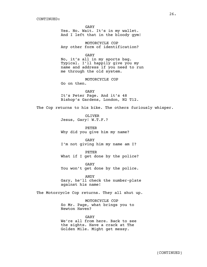GARY Yes. No. Wait. It's in my wallet. And I left that in the bloody gym!

MOTORCYCLE COP Any other form of identification?

GARY

No, it's all in my sports bag. Typical. I'll happily give you my name and address if you need to run me through the old system.

MOTORCYCLE COP

Go on then.

GARY It's Peter Page. And it's 48 Bishop's Gardens, London, N2 T12.

The Cop returns to his bike. The others furiously whisper.

OLIVER Jesus, Gary! W.T.F.?

PETER Why did you give him my name?

GARY I'm not giving him my name am I?

PETER What if I get done by the police?

GARY You won't get done by the police.

ANDY Gary, he'll check the number-plate against his name!

The Motorcycle Cop returns. They all shut up.

MOTORCYCLE COP So Mr. Page, what brings you to Newton Haven?

GARY We're all from here. Back to see the sights. Have a crack at The Golden Mile. Might get messy.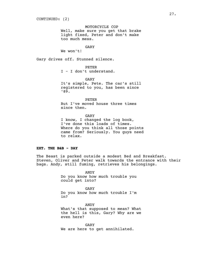MOTORCYCLE COP Well, make sure you get that brake light fixed, Peter and don't make too much mess.

## GARY

We won't!

Gary drives off. Stunned silence.

PETER I - I don't understand.

GARY It's simple, Pete. The car's still registered to you, has been since '89.

PETER But I've moved house three times since then.

GARY

I know, I changed the log book, I've done this loads of times. Where do you think all those points came from? Seriously. You guys need to relax.

# **EXT. THE B&B - DAY**

The Beast is parked outside a modest Bed and Breakfast. Steven, Oliver and Peter walk towards the entrance with their bags. Andy, still fuming, retrieves his belongings.

> ANDY Do you know how much trouble you could get into?

GARY Do you know how much trouble I'm in?

ANDY What's that supposed to mean? What the hell is this, Gary? Why are we even here?

GARY We are here to get annihilated.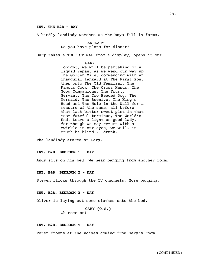### **INT. THE B&B - DAY**

A kindly landlady watches as the boys fill in forms.

LANDLADY Do you have plans for dinner?

Gary takes a TOURIST MAP from a display, opens it out.

GARY Tonight, we will be partaking of a liquid repast as we wend our way up The Golden Mile, commencing with an inaugural tankard at The First Post then onto The Old Familiar, The Famous Cock, The Cross Hands, The Good Companions, The Trusty Servant, The Two Headed Dog, The Mermaid, The Beehive, The King's Head and The Hole in the Wall for a measure of the same, all before that last bitter sweet pint in that most fateful terminus, The World's End. Leave a light on good lady, for though we may return with a twinkle in our eyes, we will, in truth be blind... drunk.

The landlady stares at Gary.

### **INT. B&B. BEDROOM 1 - DAY**

Andy sits on his bed. We hear banging from another room.

# **INT. B&B. BEDROOM 2 - DAY**

Steven flicks through the TV channels. More banging.

# **INT. B&B. BEDROOM 3 - DAY**

Oliver is laying out some clothes onto the bed.

GARY (O.S.) Oh come on!

# **INT. B&B. BEDROOM 4 - DAY**

Peter frowns at the noises coming from Gary's room.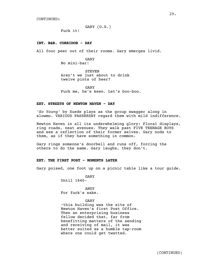GARY (O.S.)

Fuck it!

# **INT. B&B. CORRIDOR - DAY**

All four peer out of their rooms. Gary emerges livid.

GARY No mini-bar!

STEVEN Aren't we just about to drink twelve pints of beer?

GARY Fuck me, he's keen. Let's boo-boo.

# **EXT. STREETS OF NEWTON HAVEN - DAY**

*'So Young'* by Suede plays as the group swagger along in slowmo. VARIOUS PASSERSBY regard them with mild indifference.

Newton Haven in all its underwhelming glory: Floral displays, ring roads, neat avenues. They walk past FIVE TEENAGE BOYS and see a reflection of their former selves. Gary nods to them, as if they have something in common.

Gary rings someone's doorbell and runs off, forcing the others to do the same. Gary laughs, they don't.

# **EXT. THE FIRST POST - MOMENTS LATER**

Gary poised, one foot up on a picnic table like a tour guide.

GARY Until 1840-

ANDY For fuck's sake.

GARY

-this building was the site of Newton Haven's first Post Office. Then an enterprising business fellow decided that, far from benefitting matters of the sending and receiving of mail, it was better suited as a humble tap-room where one could get twatted.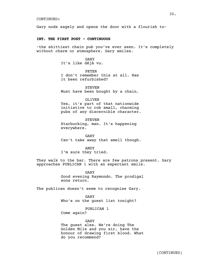Gary nods sagely and opens the door with a flourish to-

# **INT. THE FIRST POST - CONTINUOUS**

-the shittiest chain pub you've ever seen. It's completely without charm or atmosphere. Gary smiles.

# GARY

It's like déjà vu.

PETER

I don't remember this at all. Has it been refurbished?

STEVEN Must have been bought by a chain.

OLIVER

Yes, it's part of that nationwide initiative to rob small, charming pubs of any discernible character.

STEVEN Starbucking, man. It's happening everywhere.

GARY Can't take away that smell though.

ANDY I'm sure they tried.

They walk to the bar. There are few patrons present. Gary approaches PUBLICAN 1 with an expectant smile.

> GARY Good evening Raymondo. The prodigal sons return.

The publican doesn't seem to recognise Gary.

GARY Who's on the guest list tonight?

PUBLICAN 1

Come again?

GARY The guest ales. We're doing The Golden Mile and you sir, have the honour of drawing first blood. What do you recommend?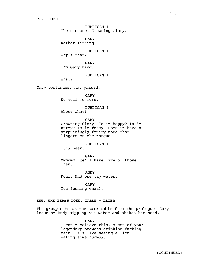PUBLICAN 1 There's one. Crowning Glory.

GARY Rather fitting.

PUBLICAN 1

Why's that?

GARY I'm Gary King.

PUBLICAN 1

What?

Gary continues, not phased.

GARY So tell me more.

PUBLICAN 1 About what?

GARY Crowning Glory. Is it hoppy? Is it nutty? Is it foamy? Does it have a surprisingly fruity note that lingers on the tongue?

PUBLICAN 1

It's beer.

GARY Mmmmmm, we'll have five of those then.

ANDY Four. And one tap water.

GARY You fucking what?!

# **INT. THE FIRST POST. TABLE - LATER**

The group sits at the same table from the prologue. Gary looks at Andy sipping his water and shakes his head.

> GARY I can't believe this, a man of your legendary prowess drinking fucking rain. It's like seeing a lion eating some hummus.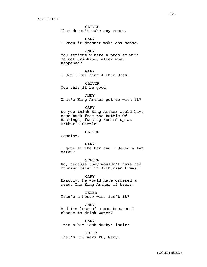OLIVER That doesn't make any sense.

GARY I know it doesn't make any sense.

ANDY You seriously have a problem with me not drinking, after what happened?

GARY I don't but King Arthur does!

OLIVER Ooh this'll be good.

ANDY What's King Arthur got to with it?

GARY

Do you think King Arthur would have come back from the Battle Of Hastings, fucking rocked up at Arthur's Castle-

OLIVER

Camelot.

GARY - gone to the bar and ordered a tap water?

STEVEN

No, because they wouldn't have had running water in Arthurian times.

GARY Exactly. He would have ordered a mead. The King Arthur of beers.

PETER Mead's a honey wine isn't it?

ANDY And I'm less of a man because I choose to drink water?

GARY It's a bit 'ooh ducky' innit?

PETER That's not very PC, Gary.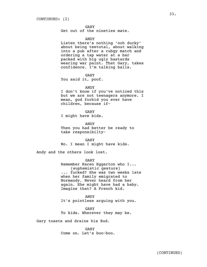# GARY

Get out of the nineties mate.

ANDY

Listen there's nothing 'ooh ducky' about being teetotal, about walking into a pub after a rubgy match and ordering a tap water at a bar packed with big ugly bastards wearing war paint. That Gary, takes confidence. I'm talking balls.

#### GARY

You said it, poof.

#### ANDY

I don't know if you've noticed this but we are not teenagers anymore. I mean, god forbid you ever have children, because if-

GARY I might have kids.

ANDY Then you had better be ready to take responsibilty-

GARY No. I mean I might have kids.

Andy and the others look lost.

GARY

Remember Karen Eggerton who I... (euphemistic gesture) ... fucked? She was two weeks late when her family emigrated to Normandy. Never heard from her again. She might have had a baby. Imagine that? A French kid.

ANDY It's pointless arguing with you.

#### GARY

To kids. Wherever they may be.

Gary toasts and drains his Bud.

GARY Come on. Let's boo-boo.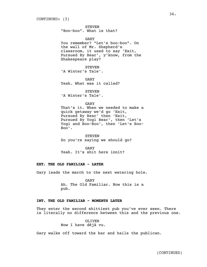#### STEVEN

"Boo-boo". What is that?

GARY

You remember? "Let's boo-boo". On the wall of Mr. Shepherd's classroom, it used to say 'Exit, Pursued By Bear', y'know, from the Shakespeare play?

STEVEN 'A Winter's Tale'.

GARY Yeah. What was it called?

STEVEN 'A Winter's Tale'.

GARY

That's it. When we needed to make a quick getaway we'd go 'Exit, Pursued By Bear' then 'Exit, Pursued By Yogi Bear', then 'Let's Yogi and Boo-Boo', then 'Let's Boo-Boo'.

STEVEN So you're saying we should go?

GARY Yeah. It's shit here innit?

### **EXT. THE OLD FAMILIAR - LATER**

Gary leads the march to the next watering hole.

GARY Ah. The Old Familiar. Now this is a pub.

# **INT. THE OLD FAMILIAR - MOMENTS LATER**

They enter the second shittiest pub you've ever seen. There is literally no difference between this and the previous one.

> OLIVER Now I have déjà vu.

Gary walks off toward the bar and hails the publican.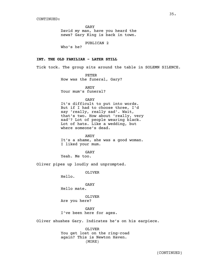GARY David my man, have you heard the news? Gary King is back in town.

PUBLICAN 2

Who's he?

# **INT. THE OLD FAMILIAR - LATER STILL**

Tick tock. The group sits around the table in SOLEMN SILENCE.

PETER How was the funeral, Gary?

ANDY Your mum's funeral?

GARY

It's difficult to put into words. But if I had to choose three, I'd say 'really, really sad'. Wait, that's two. How about 'really, very sad'? Lot of people wearing black. Lot of hats. Like a wedding, but where someone's dead.

ANDY It's a shame, she was a good woman. I liked your mum.

GARY Yeah. Me too.

Oliver pipes up loudly and unprompted.

OLIVER

Hello.

GARY

Hello mate.

OLIVER Are you here?

GARY I've been here for ages.

Oliver shushes Gary. Indicates he's on his earpiece.

OLIVER You get lost on the ring-road again? This is Newton Haven. (MORE)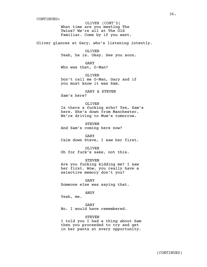What time are you meeting The Twins? We're all at The Old Familiar. Come by if you want. OLIVER (CONT'D)

Oliver glances at Gary, who's listening intently.

OLIVER Yeah, he is. Okay. See you soon.

GARY Who was that, O-Man?

OLIVER Don't call me O-Man, Gary and if you must know it was Sam.

# GARY & STEVEN

Sam's here?

## OLIVER

Is there a fucking echo? Yes, Sam's here. She's down from Manchester. We're driving to Mum's tomorrow.

STEVEN And Sam's coming here now?

GARY Calm down Steve, I saw her first.

OLIVER

Oh for fuck's sake, not this.

STEVEN

Are you fucking kidding me? I saw her first. Wow, you really have a selective memory don't you?

GARY Someone else was saying that.

ANDY

Yeah, me.

GARY

No. I would have remembered.

#### STEVEN

I told you I had a thing about Sam then you proceeded to try and get in her pants at every opportunity.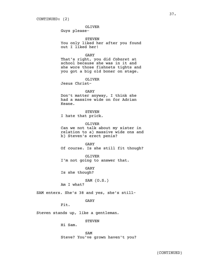OLIVER

Guys please-

STEVEN You only liked her after you found out I liked her!

GARY

That's right, you did *Cabaret* at school because she was in it and she wore those fishnets tights and you got a big old boner on stage.

OLIVER

Jesus Christ-

#### GARY

Don't matter anyway, I think she had a massive wide on for Adrian Keane.

STEVEN I hate that prick.

OLIVER Can we not talk about my sister in relation to a) massive wide ons and b) Steven's erect penis?

GARY Of course. Is she still fit though?

OLIVER I'm not going to answer that.

GARY Is she though?

# SAM (O.S.)

Am I what?

SAM enters. She's 38 and yes, she's still-

GARY

Fit.

Steven stands up, like a gentleman.

STEVEN

Hi Sam.

SAM Steve? You've grown haven't you?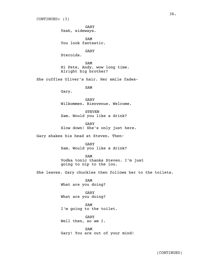CONTINUED: (3)

GARY

Yeah, sideways.

SAM You look fantastic.

GARY

Steroids.

SAM Hi Pete, Andy, wow long time. Alright big brother?

She ruffles Oliver's hair. Her smile fades-

SAM

Gary.

GARY Wilkommen. Bienvenue. Welcome.

STEVEN Sam. Would you like a drink?

GARY Slow down! She's only just here.

Gary shakes his head at Steven. Then-

GARY Sam. Would you like a drink?

SAM Vodka tonic thanks Steven. I'm just going to nip to the loo.

She leaves. Gary chuckles then follows her to the toilets.

SAM What are you doing?

GARY What are you doing?

SAM I'm going to the toilet.

GARY Well then, so am I.

SAM Gary! You are out of your mind!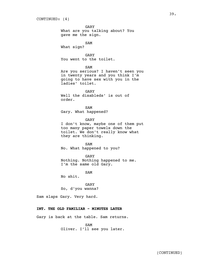GARY What are you talking about? You gave me the sign. SAM What sign? GARY You went to the toilet. SAM Are you serious? I haven't seen you in twenty years and you think I'm going to have sex with you in the ladies' toilet. GARY Well the disableds' is out of order. SAM Gary. What happened? GARY I don't know, maybe one of them put too many paper towels down the toilet. We don't really know what they are thinking. SAM No. What happened to you? GARY Nothing. Nothing happened to me. I'm the same old Gary. SAM No shit. GARY So, d'you wanna? Sam slaps Gary. Very hard.

# **INT. THE OLD FAMILIAR - MINUTES LATER**

Gary is back at the table. Sam returns.

SAM Oliver. I'll see you later.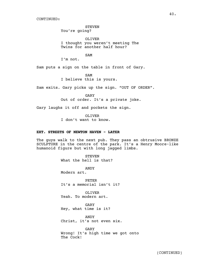STEVEN You're going?

OLIVER I thought you weren't meeting The Twins for another half hour?

SAM

I'm not.

Sam puts a sign on the table in front of Gary.

SAM I believe this is yours.

Sam exits. Gary picks up the sign. "OUT OF ORDER".

GARY Out of order. It's a private joke.

Gary laughs it off and pockets the sign.

OLIVER

I don't want to know.

# **EXT. STREETS OF NEWTON HAVEN - LATER**

The guys walk to the next pub. They pass an obtrusive BRONZE SCULPTURE in the centre of the park. It's a Henry Moore-like humanoid figure but with long jagged limbs.

> STEVEN What the hell is that?

ANDY Modern art.

PETER It's a memorial isn't it?

OLIVER Yeah. To modern art.

GARY Hey, what time is it?

ANDY Christ, it's not even six.

GARY Wrong! It's high time we got onto The Cock!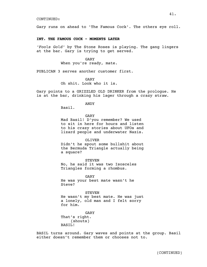#### CONTINUED:

Gary runs on ahead to 'The Famous Cock'. The others eye roll.

# **INT. THE FAMOUS COCK - MOMENTS LATER**

*'Fools Gold'* by The Stone Roses is playing. The gang lingers at the bar. Gary is trying to get served.

GARY

When you're ready, mate.

PUBLICAN 3 serves another customer first.

GARY

Oh shit. Look who it is.

Gary points to a GRIZZLED OLD DRINKER from the prologue. He is at the bar, drinking his lager through a crazy straw.

ANDY

Basil.

GARY

Mad Basil! D'you remember? We used to sit in here for hours and listen to his crazy stories about UFOs and lizard people and underwater Nazis.

OLIVER

Didn't he spout some bullshit about the Bermuda Triangle actually being a square?

STEVEN

No, he said it was two Isosceles Triangles forming a rhombus.

GARY He was your best mate wasn't he Steve?

STEVEN He wasn't my best mate. He was just a lonely, old man and I felt sorry for him.

GARY That's right. (shouts)

BASIL!

BASIL turns around. Gary waves and points at the group. Basil either doesn't remember them or chooses not to.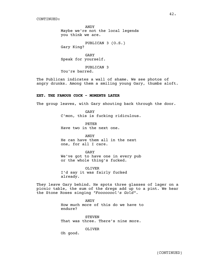CONTINUED:

ANDY Maybe we're not the local legends you think we are.

PUBLICAN 3 (O.S.)

Gary King?

GARY Speak for yourself.

PUBLICAN 3 You're barred.

The Publican indicates a wall of shame. We see photos of angry drunks. Among them a smiling young Gary, thumbs aloft.

# **EXT. THE FAMOUS COCK - MOMENTS LATER**

The group leaves, with Gary shouting back through the door.

GARY C'mon, this is fucking ridiculous.

PETER Have two in the next one.

ANDY He can have them all in the next one, for all I care.

GARY We've got to have one in every pub or the whole thing's fucked.

OLIVER I'd say it was fairly fucked already.

They leave Gary behind. He spots three glasses of lager on a picnic table, the sum of the dregs add up to a pint. We hear the Stone Roses singing *"Foooooool's Gold"*.

> ANDY How much more of this do we have to endure?

STEVEN That was three. There's nine more.

OLIVER

Oh good.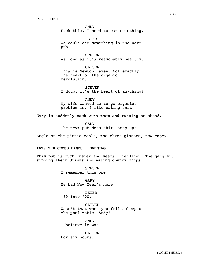ANDY Fuck this. I need to eat something.

PETER We could get something in the next pub.

STEVEN As long as it's reasonably healthy.

OLIVER This *is* Newton Haven. Not exactly the heart of the organic revolution.

STEVEN I doubt it's the heart of anything?

ANDY My wife wanted us to go organic, problem is, I like eating shit.

Gary is suddenly back with them and running on ahead.

GARY The next pub does shit! Keep up!

Angle on the picnic table, the three glasses, now empty.

# **INT. THE CROSS HANDS - EVENING**

This pub is much busier and seems friendlier. The gang sit sipping their drinks and eating chunky chips.

> STEVEN I remember this one.

GARY We had New Year's here.

PETER '89 into '90.

OLIVER Wasn't that when you fell asleep on the pool table, Andy?

ANDY I believe it was.

OLIVER For six hours.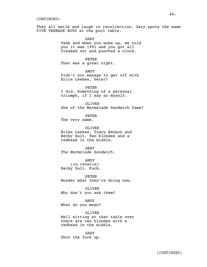They all smile and laugh in recollection. Gary spots the same FIVE TEENAGE BOYS at the pool table.

> GARY Yeah and when you woke up, we told you it was 1991 and you got all freaked out and punched a clock.

PETER That was a great night.

ANDY Didn't you manage to get off with Erica Leekes, Peter?

PETER I did. Something of a personal triumph, if I say so myself.

OLIVER She of the Marmalade Sandwich fame?

PETER

The very same.

OLIVER Erika Leekes, Tracy Benson and Becky Salt. Two blondes and a redhead in the middle.

GARY *The Marmalade Sandwich.*

ANDY (in reverie) Becky Salt. Fuck.

PETER Wonder what they're doing now.

OLIVER Why don't you ask them?

ANDY What do you mean?

OLIVER Well sitting at that table over there are two blondes with a redhead in the middle.

GARY Shut the fuck up.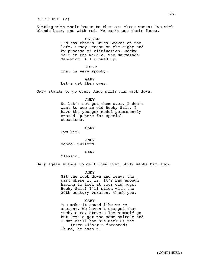## CONTINUED: (2)

Sitting with their backs to them are three women: Two with blonde hair, one with red. We can't see their faces.

# OLIVER I'd say that's Erica Leekes on the left, Tracy Benson on the right and by process of elimination, Becky Salt in the middle. The Marmalade Sandwich. All growed up.

PETER That is very spooky.

# GARY

Let's get them over.

Gary stands to go over, Andy pulls him back down.

#### ANDY

No let's not get them over. I don't want to see an old Becky Salt. I have the younger model permanently stored up here for special occasions.

GARY

Gym kit?

ANDY School uniform.

#### GARY

Classic.

Gary again stands to call them over. Andy yanks him down.

## ANDY

Sit the fuck down and leave the past where it is. It's bad enough having to look at your old mugs. Becky Salt? I'll stick with the 20th century version, thank you.

#### GARY

You make it sound like we're ancient. We haven't changed that much. Sure, Steve's let himself go but Pete's got the same haircut and O-Man still has his Mark Of the- (sees Oliver's forehead) Oh no, he hasn't.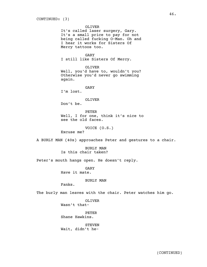OLIVER It's called laser surgery, Gary. It's a small price to pay for not being called fucking O-Man. Oh and I hear it works for Sisters Of Mercy tattoos too. GARY I still like Sisters Of Mercy. OLIVER Well, you'd have to, wouldn't you? Otherwise you'd never go swimming again. GARY I'm lost. OLIVER Don't be. PETER Well, I for one, think it's nice to see the old faces. VOICE (O.S.) Excuse me? A BURLY MAN (40s) approaches Peter and gestures to a chair. BURLY MAN Is this chair taken? Peter's mouth hangs open. He doesn't reply. GARY Have it mate. BURLY MAN Fanks. The burly man leaves with the chair. Peter watches him go. OLIVER Wasn't that-PETER Shane Hawkins. STEVEN Wait, didn't he-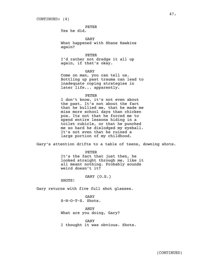# CONTINUED: (4)

PETER

Yes he did.

GARY What happened with Shane Hawkins again?

PETER I'd rather not dredge it all up again, if that's okay.

GARY

Come on man, you can tell us. Bottling up past trauma can lead to inadequate coping strategies in later life... apparently.

#### PETER

I don't know, it's not even about the past. It's not about the fact that he bullied me, that he made me miss more school days than chicken pox. Its not that he forced me to spend entire lessons hiding in a toilet cubicle, or that he punched me so hard he dislodged my eyeball. It's not even that he ruined a large portion of my childhood.

Gary's attention drifts to a table of teens, downing shots.

PETER It's the fact that just then, he looked straight through me, like it all meant nothing. Probably sounds weird doesn't it?

GARY (O.S.)

SHOTS!

Gary returns with five full shot glasses.

GARY S-H-O-T-S. Shots.

ANDY What are you doing, Gary?

GARY I thought it was obvious. Shots.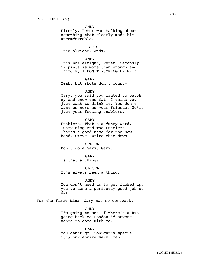ANDY

Firstly, Peter was talking about something that clearly made him uncomfortable.

PETER It's alright, Andy.

ANDY

It's not alright, Peter. Secondly 12 pints is more than enough and thirdly, I DON'T FUCKING DRINK!!

GARY Yeah, but shots don't count-

#### ANDY

Gary, you said you wanted to catch up and chew the fat. I think you just want to drink it. You don't want us here as your friends. We're just your fucking enablers.

GARY

Enablers. That's a funny word. 'Gary King And The Enablers'. That's a good name for the new band, Steve. Write that down.

STEVEN Don't do a Gary, Gary.

GARY Is that a thing?

OLIVER It's always been a thing.

#### ANDY

You don't need us to get fucked up, you've done a perfectly good job so far.

For the first time, Gary has no comeback.

ANDY I'm going to see if there's a bus going back to London if anyone wants to come with me.

GARY You can't go. Tonight's special, it's our anniversary, man.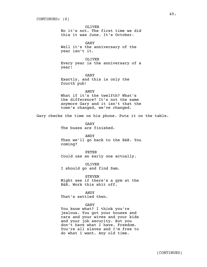OLIVER No it's not. The first time we did this it was June. It's October.

GARY Well it's the anniversary of the year isn't it.

OLIVER Every year is the anniversary of a year!

GARY Exactly, and this is only the fourth pub!

ANDY What if it's the twelfth? What's the difference? It's not the same anymore Gary and it isn't that the town's changed, we've changed.

Gary checks the time on his phone. Puts it on the table.

GARY The buses are finished.

ANDY Then we'll go back to the B&B. You coming?

PETER Could use an early one actually.

OLIVER I should go and find Sam.

STEVEN Might see if there's a gym at the B&B. Work this shit off.

ANDY That's settled then.

## GARY

You know what? I think you're jealous. You got your houses and cars and your wives and your kids and your job security. But you don't have what I have. Freedom. You're all slaves and I'm free to do what I want. Any old time.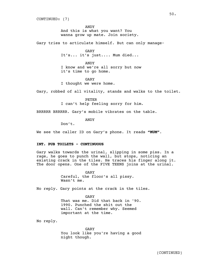CONTINUED: (7)

ANDY And this is what you want? You wanna grow up mate. Join society.

Gary tries to articulate himself. But can only manage-

GARY It's... it's just.... Mum died...

ANDY I know and we're all sorry but now it's time to go home.

GARY

I thought we were home.

Gary, robbed of all vitality, stands and walks to the toilet.

PETER I can't help feeling sorry for him.

BRRRRR BRRRRR. Gary's mobile vibrates on the table.

ANDY

Don't.

We see the caller ID on Gary's phone. It reads **"MUM"**.

#### **INT. PUB TOILETS - CONTINUOUS**

Gary walks towards the urinal, slipping in some piss. In a rage, he goes to punch the wall, but stops, noticing an existing crack in the tiles. He traces his finger along it. The door opens. One of the FIVE TEENS joins at the urinal.

> GARY Careful, the floor's all pissy. Wasn't me.

No reply. Gary points at the crack in the tiles.

GARY That was me. Did that back in '90. 1990. Punched the shit out the wall. Can't remember why. Seemed important at the time.

No reply.

GARY You look like you're having a good night though.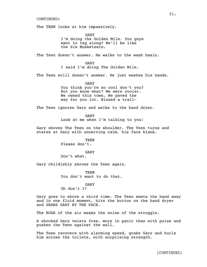#### CONTINUED:

The TEEN looks at him impassively.

GARY I'm doing the Golden Mile. You guys want to tag along? We'll be like the Six Musketeers.

The Teen doesn't answer. He walks to the wash basin.

GARY I said I'm doing The Golden Mile.

The Teen still doesn't answer. He just washes his hands.

GARY You think you're so cool don't you? But you know what? We were cooler. We owned this town. We paved the way for you lot. Blazed a trail-

The Teen ignores Gary and walks to the hand dryer.

GARY

Look at me when I'm talking to you!

Gary shoves The Teen on the shoulder. The Teen turns and stares at Gary with unnerving calm, his face blank.

> TEEN Please don't.

> > GARY

Don't what.

Gary childishly shoves the Teen again.

TEEN You don't want to do that.

## GARY

Oh don't I?

Gary goes to shove a third time. The Teen swats the hand away and in one fluid moment, hits the button on the hand dryer and GRABS GARY BY THE FACE.

The ROAR of the air masks the noise of the struggle.

A shocked Gary twists free, more in panic than with poise and pushes the Teen against the wall.

The Teen recovers with alarming speed, grabs Gary and hurls him across the toilets, with surprising strength.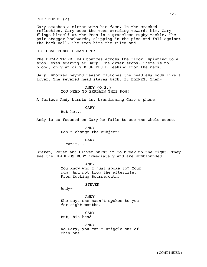CONTINUED: (2)

Gary smashes a mirror with his face. In the cracked reflection, Gary sees the teen striding towards him. Gary flings himself at the Teen in a graceless rugby tackle. The pair stagger backwards, slipping in the piss and fall against the back wall. The teen hits the tiles and-

HIS HEAD COMES CLEAN OFF!

The DECAPITATED HEAD bounces across the floor, spinning to a stop, eyes staring at Gary. The dryer stops. There is no blood, only an oily BLUE FLUID leaking from the neck.

Gary, shocked beyond reason clutches the headless body like a lover. The severed head stares back. It BLINKS. Then-

> ANDY (O.S.) YOU NEED TO EXPLAIN THIS NOW!

A furious Andy bursts in, brandishing Gary's phone.

GARY

But he...

Andy is so focused on Gary he fails to see the whole scene.

ANDY Don't change the subject!

GARY

I can't...

Steven, Peter and Oliver burst in to break up the fight. They see the HEADLESS BODY immediately and are dumbfounded.

> ANDY You know who I just spoke to? Your mum! And not from the afterlife. From fucking Bournemouth.

> > STEVEN

Andy-

ANDY She says she hasn't spoken to you for eight months.

GARY But, his head-

ANDY No Gary, you can't wriggle out of this one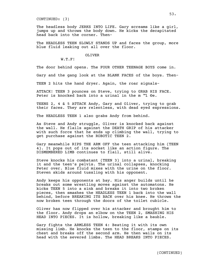CONTINUED: (3)

The headless body JERKS INTO LIFE. Gary screams like a girl, jumps up and throws the body down. He kicks the decapitated head back into the corner. Then-

The HEADLESS TEEN SLOWLY STANDS UP and faces the group, more blue fluid leaking out all over the floor.

OLIVER

W.T.F!

The door behind opens. The FOUR OTHER TEENAGE BOYS come in.

Gary and the gang look at the BLANK FACES of the boys. Then-

TEEN 2 hits the hand dryer. Again, the roar signals-

ATTACK! TEEN 3 pounces on Steve, trying to GRAB HIS FACE. Peter is knocked back into a urinal in the  $m \leq 0$ e.

TEENS 2, 4 & 5 ATTACK Andy, Gary and Oliver, trying to grab their faces. They are relentless, with dead eyed expressions.

The HEADLESS TEEN 1 also grabs Andy from behind.

As Steve and Andy struggle, Oliver is knocked back against the wall. He flails against the DEATH GRIP of his attacker with such force that he ends up climbing the wall, trying to get purchase against the ROBOTIC TEEN 2.

Gary meanwhile RIPS THE ARM OFF the teen attacking him (TEEN 4). It pops out of its socket like an action figure. The DISMEMBERED LIMB continues to flail, still alive.

Steve knocks his combatant (TEEN 3) into a urinal, breaking it and the teen's pelvis. The urinal collapses, knocking Peter over. Blue fluid mixes with the urine on the floor. Steven skids around tussling with his opponent.

Andy keeps his opponents at bay. His anger builds until he breaks out some wrestling moves against the automatons. He kicks TEEN 5 into a sink and breaks it into two broken pieces, then smashes the HEADLESS TEEN 1 back into the wall behind, before BREAKING ITS BACK over his knee. He throws the now broken teen through the doors of the toilet cubicle.

Oliver has now flipped over his attacker and brought him to the floor. Andy drops an elbow on the TEEN 2, SMASHING HIS HEAD INTO PIECES. It is hollow, breaking like a bauble.

Gary fights the ARMLESS TEEN 4: Beating it with its own missing limb. He knocks the teen to the floor, stamps on its chest and breaks off the second arm. He then wails on its head with the severed limbs. The HEAD BREAKS INTO PIECES.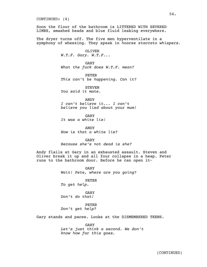CONTINUED: (4)

Soon the floor of the bathroom is LITTERED WITH SEVERED LIMBS, smashed heads and blue fluid leaking everywhere.

The dryer turns off. The five men hyperventilate in a symphony of wheezing. They speak in *hoarse staccato whispers.*

> OLIVER *W.T.F. Gary. W.T.F...*

GARY *What the fuck does W.T.F. mean?*

PETER *This can't be happening. Can it?*

STEVEN *You said it mate.*

ANDY *I can't believe it... I can't believe you lied about your mum!*

GARY *It was a white lie!*

ANDY *How is that a white lie?*

GARY *Because she's not dead is she?*

Andy flails at Gary in an exhausted assault. Steven and Oliver break it up and all four collapse in a heap. Peter runs to the bathroom door. Before he can open it-

> GARY *Wait! Pete, where are you going?*

PETER *To get help.*

GARY *Don't do that!*

PETER *Don't get help?*

Gary stands and paces. Looks at the DISMEMBERED TEENS.

GARY *Let's just think a second. We don't know how far this goes.*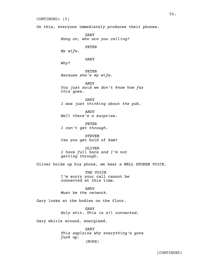## CONTINUED: (5)

On this, everyone immediately produces their phones.

GARY *Hang on, who are you calling?*

PETER

*My wife.*

GARY

*Why?*

PETER *Because she's my wife.*

ANDY *You just said we don't know how far this goes.*

GARY *I was just thinking about the pub.*

ANDY *Well there's a surprise.*

PETER *I can't get through.*

STEVEN Can you get hold of Sam?

OLIVER *I have full bars and I'm not getting through.*

Oliver holds up his phone, we hear a WELL SPOKEN VOICE.

THE VOICE I'm sorry your call cannot be connected at this time.

ANDY *Must be the network.*

Gary looks at the bodies on the floor.

GARY *Holy shit. This is all connected.*

Gary whirls around, energised.

GARY *This explains why everything's gone fuck up.*  (MORE)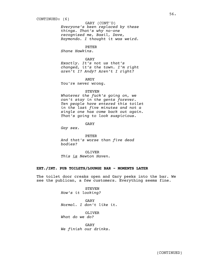## CONTINUED: (6)

*Everyone's been replaced by these things. That's why no-one recognised me, Basil, Dave, Raymondo. I thought it was weird.* GARY (CONT'D)

## PETER

*Shane Hawkins.*

# GARY

*Exactly. It's not us that's changed, it's the town. I'm right aren't I? Andy? Aren't I right?*

## ANDY

You're never wrong.

#### STEVEN

*Whatever the fuck's going on, we can't stay in the gents forever. Ten people have entered this toilet in the last five minutes and not a single one has come back out again. That's going to look suspicious.*

GARY

*Gay sex.*

PETER *And that's worse than five dead bodies?*

OLIVER *This is Newton Haven.*

## **EXT./INT. PUB TOILETS/LOUNGE BAR - MOMENTS LATER**

The toilet door creaks open and Gary peeks into the bar. We see the publican, a few customers. Everything seems fine.

> STEVEN *How's it looking?*

GARY *Normal. I don't like it.*

OLIVER *What do we do?*

GARY *We finish our drinks.*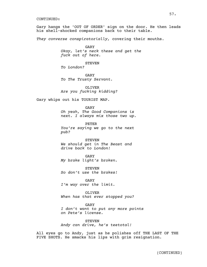#### CONTINUED:

Gary hangs the 'OUT OF ORDER' sign on the door. He then leads his shell-shocked companions back to their table.

*They converse conspiratorially,* covering their mouths.

GARY *Okay, let's neck these and get the fuck out of here.*

STEVEN

*To London?*

GARY *To The Trusty Servant.*

OLIVER *Are you fucking kidding?*

Gary whips out his TOURIST MAP.

GARY *Oh yeah, The Good Companions is next. I always mix those two up.*

PETER *You're saying we go to the next pub?*

STEVEN *We should get in The Beast and drive back to London!*

GARY *My brake light's broken.*

STEVEN *So don't use the brakes!*

GARY *I'm way over the limit.*

OLIVER *When has that ever stopped you?*

GARY *I don't want to put any more points on Pete's license.*

STEVEN *Andy can drive, he's teetotal!*

All eyes go to Andy, just as he polishes off THE LAST OF THE FIVE SHOTS. He smacks his lips with grim resignation.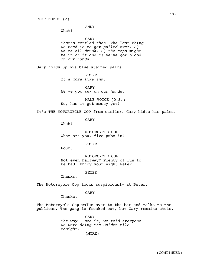ANDY

What?

GARY *That's settled then. The last thing we need is to get pulled over. A) we're all drunk. B) the cops might be in on it and C) we've got blood on our hands.*

Gary holds up his blue stained palms.

PETER *It's more like ink.*

GARY *We've got ink on our hands.*

MALE VOICE (O.S.) So, has it got messy yet?

It's THE MOTORCYCLE COP from earlier. Gary hides his palms.

GARY

Whuh?

MOTORCYCLE COP What are you, five pubs in?

PETER

Four.

MOTORCYCLE COP Not even halfway? Plenty of fun to be had. Enjoy your night Peter.

PETER

Thanks.

The Motorcycle Cop looks suspiciously at Peter.

GARY

Thanks.

The Motorcycle Cop walks over to the bar and talks to the publican. The gang is freaked out, but Gary remains stoic.

> GARY *The way I see it, we told everyone we were doing The Golden Mile tonight.*  (MORE)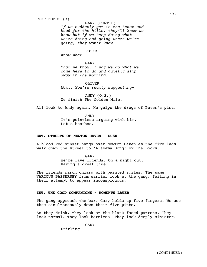GARY (CONT'D)

*If we suddenly get in the Beast and head for the hills, they'll know we know but if we keep doing what we're doing and going where we're going, they won't know.*

# PETER

*Know what?*

GARY *That we know. I say we do what we came here to do and quietly slip away in the morning.*

OLIVER *Wait. You're really suggesting-*

ANDY (O.S.) We finish The Golden Mile.

All look to Andy again. He gulps the dregs of Peter's pint.

ANDY It's pointless arguing with him. Let's boo-boo.

## **EXT. STREETS OF NEWTON HAVEN - DUSK**

A blood-red sunset hangs over Newton Haven as the five lads walk down the street to 'Alabama Song' by The Doors.

> GARY We're five friends. On a night out. Having a great time.

The friends march onward with painted smiles. The same VARIOUS PASSERSBY from earlier look at the gang, failing in their attempt to appear inconspicuous.

# **INT. THE GOOD COMPANIONS - MOMENTS LATER**

The gang approach the bar. Gary holds up five fingers. We see them simultaneously down their five pints.

As they drink, they look at the blank faced patrons. They look normal. They look harmless. They look deeply sinister.

GARY

Drinking.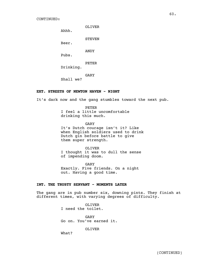OLIVER

STEVEN

Beer.

Ahhh.

ANDY

Pubs.

PETER

Drinking.

GARY

Shall we?

# **EXT. STREETS OF NEWTON HAVEN - NIGHT**

It's dark now and the gang stumbles toward the next pub.

PETER I feel a little uncomfortable drinking this much.

GARY It's Dutch courage isn't it? Like when English soldiers used to drink Dutch gin before battle to give them super strength.

OLIVER I thought it was to dull the sense of impending doom.

GARY Exactly. Five friends. On a night out. Having a good time.

# **INT. THE TRUSTY SERVANT - MOMENTS LATER**

The gang are in pub number six, downing pints. They finish at different times, with varying degrees of difficulty.

> OLIVER I need the toilet.

GARY Go on. You've earned it.

OLIVER

What?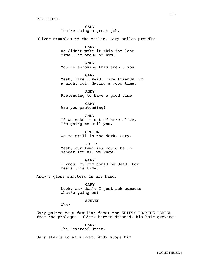GARY You're doing a great job.

Oliver stumbles to the toilet. Gary smiles proudly.

GARY He didn't make it this far last time. I'm proud of him.

ANDY You're enjoying this aren't you?

GARY Yeah, like I said, five friends, on a night out. Having a good time.

ANDY Pretending to have a good time.

GARY Are you pretending?

ANDY If we make it out of here alive, I'm going to kill you.

STEVEN We're still in the dark, Gary.

PETER Yeah, our families could be in danger for all we know.

GARY I know, my mum could be dead. For reals this time.

Andy's glass shatters in his hand.

GARY Look, why don't I just ask someone what's going on?

## STEVEN

Who?

Gary points to a familiar face; the SHIFTY LOOKING DEALER from the prologue. Older, better dressed, his hair greying.

GARY

The Reverend Green.

Gary starts to walk over. Andy stops him.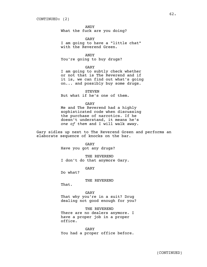# CONTINUED: (2)

ANDY What the fuck are you doing?

GARY I am going to have a "little chat" with the Reverend Green.

ANDY You're going to buy drugs?

GARY

I am going to subtly check whether or not that is The Reverend and if it is, we can find out what's going on... and possibly buy some drugs.

STEVEN But what if he's one of them.

GARY

Me and The Reverend had a highly sophisticated code when discussing the purchase of narcotics. If he doesn't understand, it means he's *one of them* and I will walk away.

Gary sidles up next to The Reverend Green and performs an elaborate sequence of knocks on the bar.

GARY

Have you got any drugs?

THE REVEREND I don't do that anymore Gary.

GARY

Do what?

THE REVEREND

That.

GARY

That why you're in a suit? Drug dealing not good enough for you?

THE REVEREND There are no dealers anymore. I have a proper job in a proper office.

GARY You had a proper office before.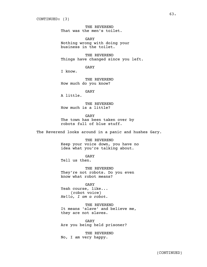THE REVEREND That was the men's toilet.

GARY Nothing wrong with doing your business in the toilet.

THE REVEREND Things have changed since you left.

GARY

I know.

THE REVEREND How much do you know?

GARY

A little.

THE REVEREND How much is a little?

GARY The town has been taken over by robots full of blue stuff.

The Reverend looks around in a panic and hushes Gary.

THE REVEREND Keep your voice down, you have no idea what you're talking about.

GARY Tell us then.

THE REVEREND They're not robots. Do you even know what robot means?

GARY Yeah course, like... (robot voice) *Hello, I am a robot.*

THE REVEREND It means 'slave' and believe me, they are not slaves.

GARY Are you being held prisoner?

THE REVEREND No, I am very happy.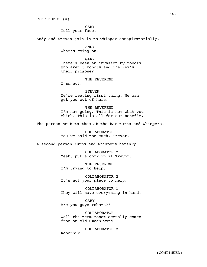GARY

Tell your face.

Andy and Steven join in to whisper conspiratorially.

ANDY What's going on?

GARY There's been an invasion by robots who aren't robots and The Rev's their prisoner.

THE REVEREND

I am not.

STEVEN We're leaving first thing. We can get you out of here.

THE REVEREND I'm not going. This is not what you think. This is all for our benefit.

The person next to them at the bar turns and whispers.

COLLABORATOR 1 You've said too much, Trevor.

A second person turns and whispers harshly.

COLLABORATOR 2 Yeah, put a cork in it Trevor.

THE REVEREND I'm trying to help.

COLLABORATOR 2 It's not your place to help.

COLLABORATOR 1 They will have everything in hand.

GARY Are you guys robots??

COLLABORATOR 1 Well the term robot actually comes from an old Czech word-

COLLABORATOR 2 Robotnik.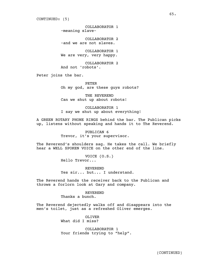CONTINUED: (5)

COLLABORATOR 1 -meaning slave-

COLLABORATOR 2 -and we are not slaves.

COLLABORATOR 1 We are very, very happy.

COLLABORATOR 2 And not 'robots'.

Peter joins the bar.

PETER Oh my god, are these guys robots?

THE REVEREND Can we shut up about robots!

COLLABORATOR 1 I say we shut up about everything!

A GREEN ROTARY PHONE RINGS behind the bar. The Publican picks up, listens without speaking and hands it to The Reverend.

> PUBLICAN 6 Trevor, it's your supervisor.

The Reverend's shoulders sag. He takes the call. We briefly hear a WELL SPOKEN VOICE on the other end of the line.

> VOICE (O.S.) Hello Trevor...

REVEREND Yes sir... but... I understand.

The Reverend hands the receiver back to the Publican and throws a forlorn look at Gary and company.

REVEREND

Thanks a bunch.

The Reverend dejectedly walks off and disappears into the men's toilet, just as a refreshed Oliver emerges.

> OLIVER What did I miss?

COLLABORATOR 1 Your friends trying to "help".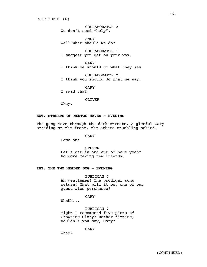CONTINUED: (6)

COLLABORATOR 2 We don't need "help".

ANDY Well what should we do?

COLLABORATOR 1 I suggest you get on your way.

GARY I think we should do what they say.

COLLABORATOR 2 I think you should do what we say.

GARY

I said that.

OLIVER

Okay.

# **EXT. STREETS OF NEWTON HAVEN - EVENING**

The gang move through the dark streets. A gleeful Gary striding at the front, the others stumbling behind.

GARY

Come on!

STEVEN

Let's get in and out of here yeah? No more making new friends.

# **INT. THE TWO HEADED DOG - EVENING**

PUBLICAN 7 Ah gentlemen! The prodigal sons return! What will it be, one of our guest ales perchance?

GARY

Uhhhh...

PUBLICAN 7 Might I recommend five pints of Crowning Glory? Rather fitting, wouldn't you say, Gary?

GARY

What?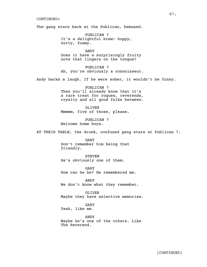#### CONTINUED:

The gang stare back at the Publican, bemused.

PUBLICAN 7 It's a delightful brew: hoppy, nutty, foamy.

ANDY Does it have a surprisingly fruity note that lingers on the tongue?

PUBLICAN 7 Ah, you're obviously a connoisseur.

Andy barks a laugh. If he were sober, it wouldn't be funny.

PUBLICAN 7 Then you'll already know that it's a rare treat for rogues, reverends, royalty and all good folks between.

OLIVER Mmmmm, five of those, please.

PUBLICAN 7 Welcome home boys.

AT THEIR TABLE, the drunk, confused gang stare at Publican 7.

GARY Don't remember him being that friendly.

STEVEN He's *obviously* one of them.

GARY How can he be? He remembered me.

ANDY We don't know what they remember.

OLIVER Maybe they have selective memories.

GARY

Yeah, like me.

ANDY Maybe he's one of the others. Like The Reverend.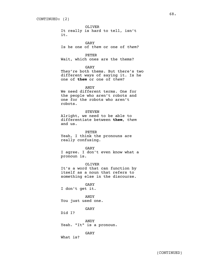## CONTINUED: (2)

OLIVER It really is hard to tell, isn't it.

GARY Is he one of *them* or one of *them?*

PETER Wait, which ones are the thems?

GARY

They're both thems. But there's two different ways of saying it. Is he one of **them** or one of *them*?

ANDY

We need different terms. One for the people who aren't robots and one for the robots who aren't robots.

STEVEN

Alright, we need to be able to differentiate between **them**, *them* and us.

PETER Yeah, I think the pronouns are really confusing.

GARY I agree. I don't even know what a pronoun is.

OLIVER It's a word that can function by itself as a noun that refers to something else in the discourse.

GARY I don't get it.

ANDY You just used one.

GARY

Did I?

ANDY Yeah. "It" is a pronoun.

GARY

What is?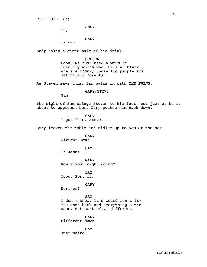CONTINUED: (3)

ANDY

It.

GARY

Is it?

Andy takes a giant swig of his drink.

STEVEN Look, we just need a word to identify who's who. He's a **'blank'**, she's a *blank*, those two people are definitely *'blanks'*.

As Steven says this, Sam walks in with *THE TWINS*.

GARY/STEVE

Sam.

The sight of Sam brings Steven to his feet, but just as he is about to approach her, Gary pushes him back down.

> GARY I got this, Steve.

Gary leaves the table and sidles up to Sam at the bar.

GARY Alright Sam?

SAM Oh Jesus!

GARY How's your night going?

SAM Good. Sort of.

GARY

Sort of?

SAM I don't know. It's weird isn't it? You come back and everything's the same. But sort of... different.

GARY Different *how?*

SAM Just weird.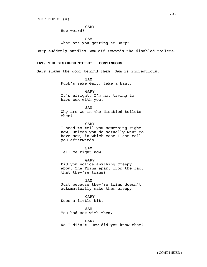GARY

How weird?

SAM What are you getting at Gary?

Gary suddenly bundles Sam off towards the disabled toilets.

# **INT. THE DISABLED TOILET - CONTINUOUS**

Gary slams the door behind them. Sam is incredulous.

SAM Fuck's sake Gary, take a hint.

GARY It's alright, I'm not trying to have sex with you.

SAM Why are we in the disabled toilets then?

GARY I need to tell you something right now, unless you do actually want to have sex, in which case I can tell you afterwards.

SAM Tell me right now.

GARY Did you notice anything creepy about The Twins apart from the fact that they're twins?

SAM Just because they're twins doesn't automatically make them creepy.

GARY Does a little bit.

SAM You had sex with them.

GARY No I didn't. How did you know that?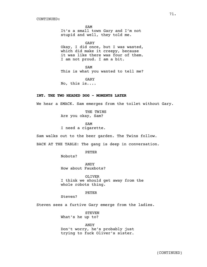SAM It's a small town Gary and I'm not stupid and well, they told me.

GARY Okay, I did once, but I was wasted, which did make it creepy, because it was like there was four of them. I am not proud. I am a bit.

SAM This is what you wanted to tell me?

GARY No, this is....

# **INT. THE TWO HEADED DOG - MOMENTS LATER**

We hear a SMACK. Sam emerges from the toilet without Gary.

THE TWINS Are you okay, Sam?

SAM I need a cigarette.

Sam walks out to the beer garden. The Twins follow.

BACK AT THE TABLE: The gang is deep in conversation.

PETER

Nobots?

ANDY How about Fauxbots?

OLIVER I think we should get away from the whole robots thing.

PETER

Steven?

Steven sees a furtive Gary emerge from the ladies.

STEVEN What's he up to?

ANDY Don't worry, he's probably just trying to fuck Oliver's sister.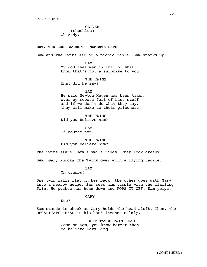OLIVER (chuckles) Oh Andy.

### **EXT. THE BEER GARDEN - MOMENTS LATER**

Sam and The Twins sit at a picnic table. Sam sparks up.

SAM My god that man is full of shit. I know that's not a surprise to you.

THE TWINS What did he say?

SAM

He said Newton Haven has been taken over by robots full of blue stuff and if we don't do what they say, they will make us their prisoners.

THE TWINS Did you believe him?

SAM Of course not.

THE TWINS Did you believe him?

The Twins stare. Sam's smile fades. They look creepy.

BAM! Gary knocks The Twins over with a flying tackle.

SAM

Oh crumbs!

One twin falls flat on her back, the other goes with Gary into a nearby hedge. Sam sees him tussle with the flailing Twin. He pushes her head down and POPS IT OFF. Sam yelps.

GARY

See?

Sam stands in shock as Gary holds the head aloft. Then, the DECAPITATED HEAD in his hand intones calmly.

> DECAPITATED TWIN HEAD Come on Sam, you know better than to believe Gary King.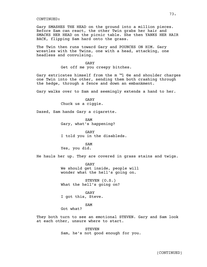#### CONTINUED:

Gary SMASHES THE HEAD on the ground into a million pieces. Before Sam can react, the other Twin grabs her hair and SMACKS HER HEAD on the picnic table. She then YANKS HER HAIR BACK, flipping Sam hard onto the grass.

The Twin then runs toward Gary and POUNCES ON HIM. Gary wrestles with the Twins, one with a head, attacking, one headless and convulsing.

> GARY Get off me you creepy bitches.

Gary extricates himself from the m™l©e and shoulder charges one Twin into the other, sending them both crashing through the hedge, through a fence and down an embankment.

Gary walks over to Sam and seemingly extends a hand to her.

GARY Chuck us a ciggie.

Dazed, Sam hands Gary a cigarette.

SAM Gary, what's happening?

GARY I told you in the disableds.

SAM Yes, you did.

He hauls her up. They are covered in grass stains and twigs.

GARY We should get inside, people will wonder what the hell's going on.

STEVEN (O.S.) What the hell's going on?

GARY I got this, Steve.

SAM

Got what?

They both turn to see an emotional STEVEN. Gary and Sam look at each other, unsure where to start.

> STEVEN Sam, he's not good enough for you.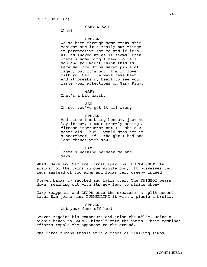# GARY & SAM

What?

#### STEVEN

We've been through some crazy shit tonight and it's really put things in perspective for me and if it's all as fucked up as it seems, then there's something I need to tell you and you might think this is because I've drunk seven pints of lager, but it's not. I'm in love with you Sam, I always have been and it breaks my heart to see you waste your affections on Gary King.

GARY

That's a bit harsh.

SAM

Oh no, you've got it all wrong.

STEVEN

And since I'm being honest, just to lay it out, I am currently seeing a fitness instructor but I - she's 26 years-old - but I would drop her in a heartbeat, if I thought I had one last chance with you.

SAM There's nothing between me and Gary.

WHAM! Gary and Sam are thrust apart by THE TWINBOT: An amalgam of the twins in one single body. It possesses two legs instead of two arms and looks very creepy indeed.

Steven backs up shocked and falls over. The TWINBOT bears down, reaching out with its new legs to strike when-

Gary reappears and LEAPS onto the creature, a split second later Sam joins him, PUMMELLING it with a picnic umbrella.

# STEVEN

Get your feet off her!

Steven regains his composure and joins the mêlée, using a picnic bench to LAUNCH himself onto the Twins. Their combined efforts topple the opponent to the ground.

The three humans tussle with a chaos of flailing limbs.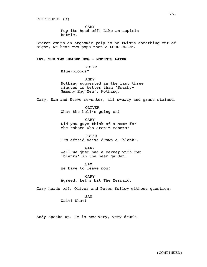CONTINUED: (3)

GARY

Pop its head off! Like an aspirin bottle.

Steven emits an orgasmic yelp as he twists something out of sight, we hear two pops then A LOUD CRACK.

**INT. THE TWO HEADED DOG - MOMENTS LATER**

PETER Blue-bloods?

ANDY Nothing suggested in the last three minutes is better than 'Smashy-Smashy Egg Men'. Nothing.

Gary, Sam and Steve re-enter, all sweaty and grass stained.

OLIVER What the hell's going on?

GARY Did you guys think of a name for the robots who aren't robots?

PETER I'm afraid we've drawn a 'blank'.

GARY Well we just had a barney with two 'blanks' in the beer garden.

SAM We have to leave now!

GARY Agreed. Let's hit The Mermaid.

Gary heads off, Oliver and Peter follow without question.

SAM Wait? What!

Andy speaks up. He is now very, very drunk.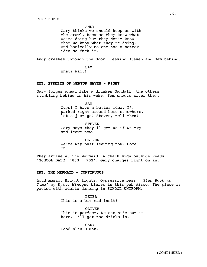ANDY

Gary thinks we should keep on with the crawl, because they know what we're doing but they don't know that we know what they're doing. And basically no one has a better idea so fuck it.

Andy crashes through the door, leaving Steven and Sam behind.

SAM What? Wait!

# **EXT. STREETS OF NEWTON HAVEN - NIGHT**

Gary forges ahead like a drunken Gandalf, the others stumbling behind in his wake. Sam shouts after them.

> SAM Guys! I have a better idea. I'm parked right around here somewhere, let's just go! Steven, tell them!

STEVEN Gary says they'll get us if we try and leave now.

OLIVER We're way past leaving now. Come on.

They arrive at The Mermaid. A chalk sign outside reads 'SCHOOL DAZE: '80S, '90S'. Gary charges right on in.

### **INT. THE MERMAID - CONTINUOUS**

Loud music. Bright lights. Oppressive bass. *'Step Back in Time'* by *Kylie Minogue* blares in this pub disco. The place is packed with adults dancing in SCHOOL UNIFORM.

> PETER This is a bit mad innit?

OLIVER This is perfect. We can hide out in here. I'll get the drinks in.

GARY Good plan O-Man.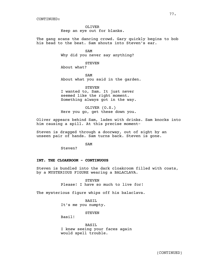OLIVER

Keep an eye out for blanks.

The gang scans the dancing crowd. Gary quickly begins to bob his head to the beat. Sam shouts into Steven's ear.

> SAM Why did you never say anything?

> > STEVEN

About what?

SAM About what you said in the garden.

STEVEN I wanted to, Sam. It just never seemed like the right moment. Something always got in the way.

OLIVER (O.S.) Here you go, get these down you.

Oliver appears behind Sam, laden with drinks. Sam knocks into him causing a spill. At this precise moment-

Steven is dragged through a doorway, out of sight by an unseen pair of hands. Sam turns back. Steven is gone.

SAM

Steven?

#### **INT. THE CLOAKROOM - CONTINUOUS**

Steven is bundled into the dark cloakroom filled with coats, by a MYSTERIOUS FIGURE wearing a BALACLAVA.

> STEVEN Please! I have so much to live for!

The mysterious figure whips off his balaclava.

BASIL It's me you numpty.

STEVEN

Basil!

BASIL I knew seeing your faces again would spell trouble.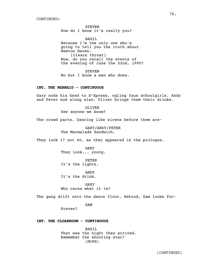STEVEN How do I know it's really you?

BASIL Because I'm the only one who's going to tell you the truth about Newton Haven. (clears throat) Now, do you recall the events of the evening of June the 22nd, 1990?

STEVEN No but I know a man who does.

### **INT. THE MERMAID - CONTINUOUS**

Gary nods his head to S-Xpress, ogling faux schoolgirls. Andy and Peter nod along also. Oliver brings them their drinks.

> OLIVER See anyone we know?

The crowd parts. Dancing like sirens before them are-

GARY/ANDY/PETER The Marmalade Sandwich.

They look 17 not 40, as they appeared in the prologue.

GARY They look... *young*.

PETER It's the lights.

ANDY It's the drink.

GARY Who cares what it is?

The gang drift onto the dance floor. Behind, Sam looks for-

SAM

Steven?

# **INT. THE CLOAKROOM - CONTINUOUS**

BASIL That was the night they arrived. Remember the shooting star? (MORE)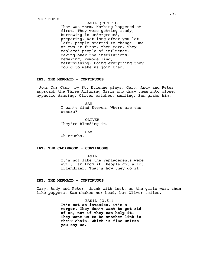That was them. Nothing happened at first. They were getting ready, burrowing in underground, preparing. Not long after you lot left, people started to change. One or two at first, then more. They replaced people of influence, taking over the institutions, remaking, remodelling, refurbishing. Doing everything they could to make us join them. BASIL (CONT'D)

#### **INT. THE MERMAID - CONTINUOUS**

*'Join Our Club'* by St. Etienne plays. Gary, Andy and Peter approach the Three Alluring Girls who draw them into close, hypnotic dancing. Oliver watches, smiling. Sam grabs him.

> SAM I can't find Steven. Where are the others?

OLIVER They're blending in.

SAM

Oh crumbs.

# **INT. THE CLOAKROOM - CONTINUOUS**

BASIL It's not like the replacements were evil, far from it. People got a lot friendlier. That's how they do it.

### **INT. THE MERMAID - CONTINUOUS**

Gary, Andy and Peter, drunk with lust, as the girls work them like puppets. Sam shakes her head, but Oliver smiles.

> BASIL (O.S.) **It's not an invasion, it's a merger. They don't want to get rid of us, not if they can help it. They want us to be another link in their chain. Which is fine unless you say no.**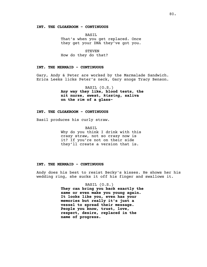**INT. THE CLOAKROOM - CONTINUOUS**

BASIL That's when you get replaced. Once they get your DNA they've got you.

STEVEN How do they do that?

### **INT. THE MERMAID - CONTINUOUS**

Gary, Andy & Peter are worked by the Marmalade Sandwich. Erica Leeks licks Peter's neck, Gary snogs Tracy Benson.

> BASIL (O.S.) **Any way they like, blood tests, the nit nurse, sweat,** *kissing***, saliva on the rim of a glass-**

### **INT. THE CLOAKROOM - CONTINUOUS**

Basil produces his curly straw.

BASIL Why do you think I drink with this crazy straw, not so crazy now is it? If you're not on their side they'll create a version that is.

#### **INT. THE MERMAID - CONTINUOUS**

Andy does his best to resist Becky's kisses. He shows her his wedding ring, she sucks it off his finger and swallows it.

#### BASIL (O.S.)

**They can bring you back exactly the same or even make you young again. It looks like you, even has your memories but really it's just a vessel to spread their message. People you know, trust, love, respect, desire, replaced in the name of progress.**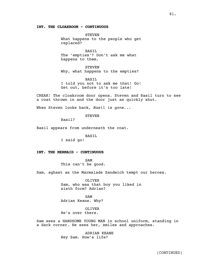STEVEN What happens to the people who get replaced?

BASIL The 'empties'? Don't ask me what happens to them.

STEVEN Why, what happens to the empties?

BASIL I told you not to ask me that! Go! Get out, before it's too late!

CREAK! The cloakroom door opens. Steven and Basil turn to see a coat thrown in and the door just as quickly shut.

When Steven looks back, *Basil is gone...*

STEVEN

Basil?

Basil appears from underneath the coat.

#### BASIL

I said go!

#### **INT. THE MERMAID - CONTINUOUS**

SAM This can't be good.

Sam, aghast as the Marmalade Sandwich tempt our heroes.

OLIVER Sam, who was that boy you liked in sixth form? Adrian?

SAM Adrian Keane. Why?

OLIVER He's over there.

Sam sees a HANDSOME YOUNG MAN in school uniform, standing in a dark corner. He sees her, smiles and approaches.

> ADRIAN KEANE Hey Sam. How's life?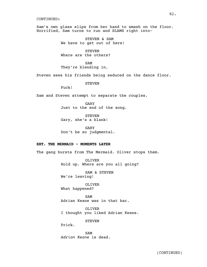#### CONTINUED:

Sam's own glass slips from her hand to smash on the floor. Horrified, Sam turns to run and SLAMS right into-

> STEVEN & SAM We have to get out of here!

STEVEN Where are the others?

SAM They're blending in.

Steven sees his friends being seduced on the dance floor.

STEVEN

Fuck!

Sam and Steven attempt to separate the couples.

GARY Just to the end of the song.

STEVEN Gary, she's a blank!

GARY Don't be so judgmental.

#### **EXT. THE MERMAID - MOMENTS LATER**

The gang bursts from The Mermaid. Oliver stops them.

OLIVER Hold up. Where are you all going?

SAM & STEVEN We're leaving!

OLIVER What happened?

SAM Adrian Keane was in that bar.

OLIVER I thought you liked Adrian Keane.

STEVEN

Prick.

SAM *Adrian Keane* is dead.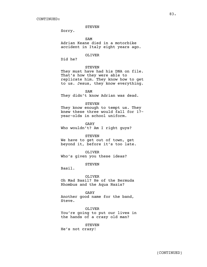STEVEN

Sorry.

SAM Adrian Keane died in a motorbike accident in Italy eight years ago.

### OLIVER

Did he?

#### STEVEN

They must have had his DNA on file. That's how they were able to replicate him. They know how to get to us. Jesus, they know everything.

SAM

They didn't know Adrian was dead.

### STEVEN

They know enough to tempt us. They knew these three would fall for 17 year-olds in school uniform.

GARY Who wouldn't? Am I right guys?

#### STEVEN

We have to get out of town, get beyond it, before it's too late.

#### OLIVER

Who's given you these ideas?

STEVEN

Basil.

OLIVER Oh Mad Basil? He of the Bermuda

Rhombus and the Aqua Nazis?

GARY

Another good name for the band, Steve.

OLIVER You're going to put our lives in the hands of a crazy old man?

STEVEN He's not crazy!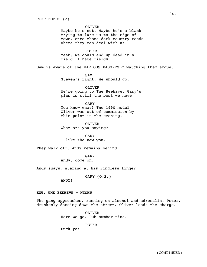OLIVER Maybe he's not. Maybe he's a blank trying to lure us to the edge of town, onto those dark country roads where they can deal with us.

PETER Yeah, we could end up dead in a field. I hate fields.

Sam is aware of the VARIOUS PASSERSBY watching them argue.

SAM Steven's right. We should go.

OLIVER We're going to The Beehive. Gary's plan is still the best we have.

GARY You know what? The 1990 model Oliver was out of commission by this point in the evening.

OLIVER What are you saying?

GARY I like the new you.

They walk off. Andy remains behind.

GARY Andy, come on.

Andy sways, staring at his ringless finger.

GARY (O.S.)

ANDY!

## **EXT. THE BEEHIVE - NIGHT**

The gang approaches, running on alcohol and adrenalin. Peter, drunkenly dancing down the street. Oliver leads the charge.

> OLIVER Here we go. Pub number nine.

> > PETER

Fuck yes!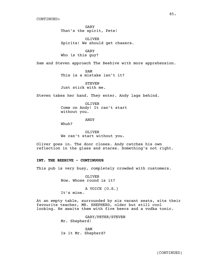GARY That's the spirit, Pete!

OLIVER Spirits! We should get chasers.

GARY Who *is* this guy?

Sam and Steven approach The Beehive with more apprehension.

SAM

This is a mistake isn't it?

STEVEN Just stick with me.

Steven takes her hand. They enter. Andy lags behind.

OLIVER Come on Andy! It can't start without you.

ANDY

Whuh?

OLIVER We can't start without you.

Oliver goes in. The door closes. Andy catches his own reflection in the glass and stares. Something's not right.

#### **INT. THE BEEHIVE - CONTINUOUS**

This pub is very busy, completely crowded with customers.

OLIVER Now. Whose round is it?

A VOICE (O.S.)

It's mine.

At an empty table, surrounded by six vacant seats, sits their favourite teacher, MR. SHEPHERD, older but still cool looking. He awaits them with five beers and a vodka tonic.

> GARY/PETER/STEVEN Mr. Shepherd!

SAM Is it Mr. Shepherd?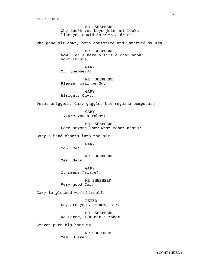MR. SHEPHERD Why don't you boys join me? Looks like you could do with a drink.

The gang sit down, both comforted and unnerved by him.

MR. SHEPHERD Now, let's have a little chat about your future.

GARY Mr. Shepherd?

MR. SHEPHERD Please, call me Guy.

GARY Alright. Guy...

Peter sniggers, Gary giggles but regains composure.

GARY ...are you a robot?

MR. SHEPHERD Does anyone know what robot means?

Gary's hand shoots into the air.

GARY

Ooh, me!

MR. SHEPHERD Yes, Gary.

GARY It means 'slave'.

MR SHEPHERD Very good Gary.

Gary is pleased with himself.

PETER So, are you a robot, sir?

MR. SHEPHERD No Peter, I'm not a robot.

Steven puts his hand up.

MR SHEPHERD Yes, Steven.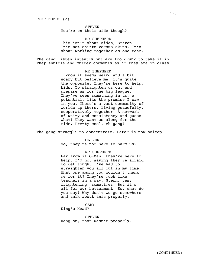STEVEN You're on their side though?

MR SHEPHERD This isn't about sides, Steven. It's not shirts versus skins. It's about working together as one team.

The gang listen intently but are too drunk to take it in. They shuffle and mutter comments as if they are in class.

### MR SHEPHERD

I know it seems weird and a bit scary but believe me, it's quite the opposite. They're here to help, kids. To straighten us out and prepare us for the big league. They've seen something in us, a potential, like the promise I saw in you. There's a vast community of worlds up there, living peacefully, cooperatively together. A network of unity and consistency and guess what? They want us along for the ride. Pretty cool, eh gang?

The gang struggle to concentrate. Peter is now asleep.

OLIVER So, they're not here to harm us?

MR SHEPHERD

Far from it O-Man, they're here to help. I'm not saying they're afraid to get tough. I've had to straighten you all out in my time. What one among you wouldn't thank me for it? They're much like teachers in a way. Stern, yes; frightening, sometimes. But it's all for our betterment. So, what do you say? Why don't we go somewhere and talk about this properly.

GARY

King's Head?

STEVEN Hang on, that wasn't properly?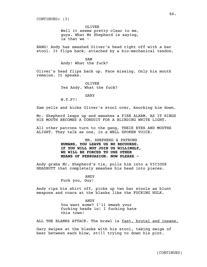OLIVER

Well it seems pretty clear to me, guys. What Mr Shepherd is saying, is that we -

BANG! Andy has smashed Oliver's head right off with a bar stool. It flips back, attached by a bio-mechanical tendon.

SAM

Andy! What the fuck?

Oliver's head flips back up. Face missing. Only his mouth remains. It speaks.

> OLIVER Yes Andy. What the fuck?

> > GARY

W.T.F?!

Sam yells and kicks Oliver's stool over, knocking him down.

Mr. Shepherd leaps up and smashes a FIRE ALARM. AS IT RINGS HIS MOUTH BECOMES A CONDUIT FOR A BLINDING WHITE LIGHT.

All other patrons turn to the gang, THEIR EYES AND MOUTHS ALIGHT. They talk as one, in a WELL SPOKEN VOICE.

> MR. SHEPHERD & PATRONS **HUMANS, YOU LEAVE US NO RECOURSE. IF YOU WILL NOT JOIN US WILLINGLY, WE WILL BE FORCED TO USE OTHER MEANS OF PERSUASION. NOW PLEASE -**

Andy grabs Mr. Shepherd's tie, pulls him into a VICIOUS HEADBUTT that completely smashes his head into pieces.

> ANDY Fuck you, Guy!

Andy rips his shirt off, picks up two bar stools as blunt weapons and roars at the blanks like the FUCKING HULK.

> ANDY You want some? I'll smash your fucking heads in! I fucking hate this town!

ALL THE BLANKS ATTACK. The brawl is fast, brutal and insane.

Gary swipes at the blanks with his stool, taking swigs of beer between each blow, *still* trying to down his pint.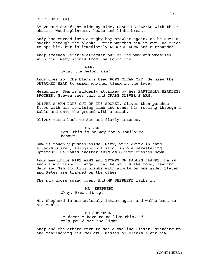CONTINUED: (4)

Steve and Sam fight side by side, SMASHING BLANKS with their chairs. Wood splinters, heads and limbs break.

Andy has turned into a rugby-boy brawler again, as he cuts a swathe through the blanks. Peter watches him in awe. He tries to ape him, but is immediately KNOCKED DOWN and surrounded.

Andy smashes Peter's attacker out of the way and wrestles with him. Gary shouts from the touchline.

> GARY Twist the melon, man!

Andy does so. The blank's head POPS CLEAN OFF. He uses the DETACHED HEAD to smash another blank in the face.

Meanwhile, Sam is suddenly attacked by her PARTIALLY HEADLESS BROTHER. Steven sees this and GRABS OLIVER'S ARM.

OLIVER'S ARM POPS OUT OF ITS SOCKET. Oliver then punches Steve with his remaining limb and sends him reeling through a table and onto the ground with a crash.

Oliver turns back to Sam and flatly intones.

OLIVER Sam, this is no way for a family to behave.

Sam is roughly pushed aside. Gary, with drink in hand, attacks Oliver, swinging his stool into a devastating uppercut. He takes another swig as Oliver crashes down.

Andy meanwhile RIPS ARMS and STOMPS ON FALLEN BLANKS. He is such a whirlwind of anger that he splits the room, leaving Gary and Sam fighting blanks with stools on one side. Steven and Peter are trapped on the other.

The pub doors swing open. And MR SHEPHERD walks in.

### MR. SHEPHERD Okay. Break it up.

Mr. Shepherd is miraculously intact again and walks back to his table.

> MR SHEPHERD It doesn't have to be like this. If only you'd see the light.

Andy and the others turn to see a smiling Oliver, standing up and reattaching *his own arm*. Masses of blanks flank him.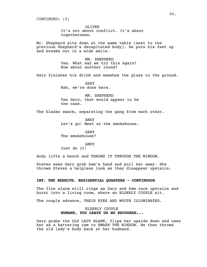CONTINUED: (5)

OLIVER It's not about conflict. It's about togetherness.

Mr. Shepherd sits down at the same table (next to the previous Shepherd's decapitated body). He puts his feet up and breaks out in a wide smile.

> MR. SHEPHERD Yes. What say we try this again? How about another round?

Gary finishes his drink and smashes the glass to the ground.

GARY Nah, we're done here.

MR. SHEPHERD Yes Gary, that would appear to be the case.

The blanks swarm, separating the gang from each other.

ANDY Let's go! Meet at the smokehouse.

GARY The smokehouse?

ANDY Just do it!

Andy lifts a bench and THROWS IT THROUGH THE WINDOW.

Steven sees Gary grab Sam's hand and pull her away. She throws Steven a helpless look as they disappear upstairs.

#### **INT. THE BEEHIVE. RESIDENTIAL QUARTERS - CONTINUOUS**

The fire alarm still rings as Gary and Sam race upstairs and burst into a living room, where an ELDERLY COUPLE sit.

The couple advance, THEIR EYES AND MOUTH ILLUMINATED.

### ELDERLY COUPLE **HUMANS, YOU LEAVE US NO RECOURSE...**

Gary grabs the OLD LADY BLANK, flips her upside down and uses her as a battering ram to SMASH THE WINDOW. He then throws the old lady's body back at her husband.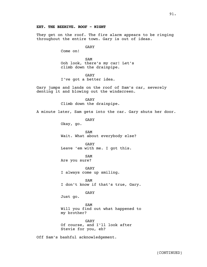### **EXT. THE BEEHIVE. ROOF - NIGHT**

They get on the roof. The fire alarm appears to be ringing throughout the entire town. Gary is out of ideas.

GARY

Come on!

SAM Ooh look, there's my car! Let's climb down the drainpipe.

GARY

I've got a better idea.

Gary jumps and lands on the roof of Sam's car, severely denting it and blowing out the windscreen.

> GARY Climb down the drainpipe.

A minute later, Sam gets into the car. Gary shuts her door.

GARY

Okay, go.

SAM Wait. What about everybody else?

GARY Leave 'em with me. I got this.

SAM Are you sure?

GARY I always come up smiling.

SAM I don't know if that's true, Gary.

GARY

Just go.

SAM Will you find out what happened to my brother?

GARY Of course, and I'll look after Stevie for you, eh?

Off Sam's bashful acknowledgement.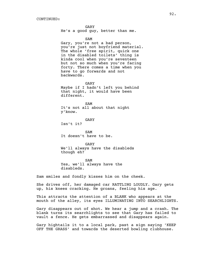GARY He's a good guy, better than me.

SAM

Gary, you're not a bad person, you're just not boyfriend material. The whole 'free spirit, quick one in the disabled toilets' thing is kinda cool when you're seventeen but not so much when you're facing forty. There comes a time when you have to go forwards and not backwards.

#### GARY

Maybe if I hadn't left you behind that night, it would have been different.

SAM It's not all about that night y'know.

GARY Isn't it?

SAM It doesn't have to be.

GARY We'll always have the disableds though eh?

SAM Yes, we'll always have the disableds.

Sam smiles and fondly kisses him on the cheek.

She drives off, her damaged car RATTLING LOUDLY. Gary gets up, his knees cracking. He groans, feeling his age.

This attracts the attention of a BLANK who appears at the mouth of the alley, its eyes ILLUMINATING INTO SEARCHLIGHTS.

Gary disappears out of shot. We hear a jump and a crash. The blank turns its searchlights to see that Gary has failed to vault a fence. He gets embarrassed and disappears again.

Gary hightails it to a local park, past a sign saying 'KEEP OFF THE GRASS' and towards the deserted bowling clubhouse.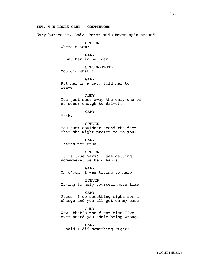### **INT. THE BOWLS CLUB - CONTINUOUS**

Gary bursts in. Andy, Peter and Steven spin around.

STEVEN

Where's Sam?

GARY I put her in her car.

STEVEN/PETER You did what?!

GARY Put her in a car, told her to leave.

ANDY You just sent away the only one of us sober enough to drive?!

GARY

Yeah.

STEVEN You just couldn't stand the fact that she might prefer me to you.

GARY That's not true.

STEVEN It is true Gary! I was getting somewhere. We held hands.

GARY Oh c'mon! I was trying to help!

STEVEN Trying to help yourself more like!

GARY Jesus, I do something right for a change and you all get on my case.

ANDY Wow, that's the first time I've ever heard you admit being wrong.

GARY I said I did something *right!*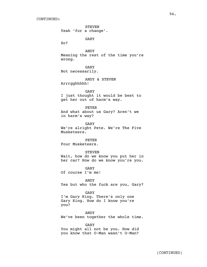STEVEN Yeah 'for a change'. GARY So? ANDY Meaning the rest of the time you're wrong. GARY Not necessarily. ANDY & STEVEN Arrrgghhhhh! GARY I just thought it would be best to get her out of harm's way. PETER And what about us Gary? Aren't we in harm's way? GARY We're alright Pete. We're The Five Musketeers. PETER Four Musketeers. STEVEN Wait, how do we know you put her in her car? How do we know you're you. GARY Of course I'm me! ANDY Yes but who the fuck are you, Gary? GARY I'm Gary King. There's only one Gary King. How do I know you're you? ANDY We've been together the whole time.

GARY You might all not be you. How did you know that O-Man wasn't O-Man?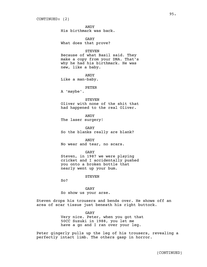ANDY His birthmark was back.

GARY What does that prove?

#### STEVEN

Because of what Basil said. They make a copy from your DNA. That's why he had his birthmark. He was new, like a baby.

ANDY

Like a man-baby.

PETER

A 'maybe'.

#### STEVEN

Oliver with none of the shit that had happened to the real Oliver.

ANDY

The laser surgery!

GARY So the blanks really are blank?

ANDY No wear and tear, no scars.

#### GARY

Steven, in 1987 we were playing cricket and I accidentally pushed you onto a broken bottle that nearly went up your bum.

#### STEVEN

So?

GARY So show us your arse.

Steven drops his trousers and bends over. He shows off an area of scar tissue just beneath his right buttock.

> GARY Very nice. Peter, when you got that 50CC Suzuki in 1988, you let me have a go and I ran over your leg.

Peter gingerly pulls up the leg of his trousers, revealing a perfectly intact limb. The others gasp in horror.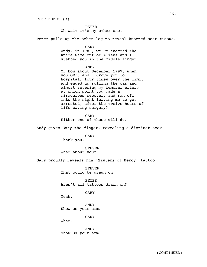PETER

Oh wait it's my other one.

Peter pulls up the other leg to reveal knotted scar tissue.

GARY

Andy, in 1986, we re-enacted the Knife Game out of Aliens and I stabbed you in the middle finger.

ANDY

Or how about December 1997, when you OD'd and I drove you to hospital, four times over the limit and ended up rolling the car and almost severing my femoral artery at which point you made a miraculous recovery and ran off into the night leaving me to get arrested, after the twelve hours of life saving surgery?

GARY

Either one of those will do.

Andy gives Gary the finger, revealing a distinct scar.

GARY

Thank you.

STEVEN What about you?

Gary proudly reveals his 'Sisters of Mercy' tattoo.

STEVEN That could be drawn on.

PETER Aren't all tattoos drawn on?

GARY

Yeah.

ANDY Show us your arm.

GARY What?

ANDY Show us your arm.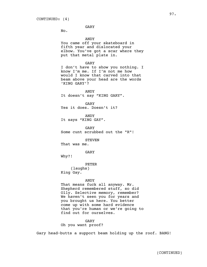GARY

No.

ANDY You came off your skateboard in fifth year and dislocated your elbow. You've got a scar where they put that metal plate in.

GARY

I don't have to show you nothing. I know I'm me. If I'm not me how would I know that carved into that beam above your head are the words 'KING GARY'?

ANDY

It doesn't say "KING GARY".

GARY

Yes it does. Doesn't it?

ANDY It says "KING GAY".

GARY Some cunt scrubbed out the "R"!

STEVEN

That was me.

GARY

Why?!

PETER

(laughs) King Gay.

#### ANDY

That means fuck all anyway. Mr. Shepherd remembered stuff, so did Olly. Selective memory, remember? We haven't seen you for years and you brought us here. You better come up with some hard evidence that you're human or we're going to find out for ourselves.

GARY

Oh you want proof?

Gary head-butts a support beam holding up the roof. BANG!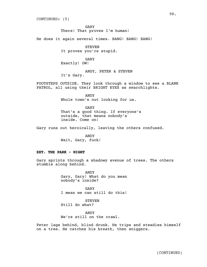CONTINUED: (5)

GARY

There! That proves I'm human!

He does it again several times. BANG! BANG! BANG!

STEVEN It proves you're stupid.

GARY Exactly! OW!

ANDY, PETER & STEVEN

It's Gary.

FOOTSTEPS OUTSIDE. They look through a window to see a BLANK PATROL, all using their BRIGHT EYES as searchlights.

> ANDY Whole town's out looking for us.

GARY That's a good thing. If everyone's outside, that means nobody's inside. Come on!

Gary runs out heroically, leaving the others confused.

ANDY Wait, Gary, fuck!

### **EXT. THE PARK - NIGHT**

Gary sprints through a shadowy avenue of trees. The others stumble along behind.

> ANDY Gary, Gary! What do you mean nobody's inside?

> GARY I mean we can still do this!

STEVEN Still do what?

ANDY We're still on the crawl.

Peter lags behind, blind drunk. He trips and steadies himself on a tree. He catches his breath, then sniggers.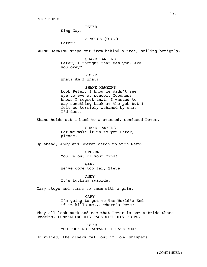CONTINUED:

PETER

King Gay.

A VOICE (O.S.)

Peter?

SHANE HAWKINS steps out from behind a tree, smiling benignly.

SHANE HAWKINS Peter, I thought that was you. Are you okay?

### PETER

What? Am I what?

SHANE HAWKINS Look Peter, I know we didn't see eye to eye at school. Goodness knows I regret that. I wanted to say something back at the pub but I felt so terribly ashamed by what I'd done.

Shane holds out a hand to a stunned, confused Peter.

SHANE HAWKINS Let me make it up to you Peter, please.

Up ahead, Andy and Steven catch up with Gary.

STEVEN You're out of your mind!

GARY We've come too far, Steve.

ANDY It's fucking suicide.

Gary stops and turns to them with a grin.

GARY I'm going to get to The World's End if it kills me... where's Pete?

They all look back and see that Peter is sat astride Shane Hawkins, PUMMELLING HIS FACE WITH HIS FISTS.

#### PETER

YOU FUCKING BASTARD! I HATE YOU!

Horrified, the others call out in loud whispers.

99.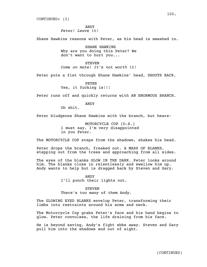ANDY

*Peter! Leave it!*

Shane Hawkins reasons with Peter, as his head is smashed in.

SHANE HAWKINS Why are you doing this Peter? We don't want to hurt you...

STEVEN *Come on mate! It's not worth it!*

Peter puts a fist through Shane Hawkins' head, SHOUTS BACK.

PETER Yes, it fucking is!!!

Peter runs off and quickly returns with AN ENORMOUS BRANCH.

ANDY

Oh shit.

Peter bludgeons Shane Hawkins with the branch, but hears-

MOTORCYCLE COP (O.S.) I must say, I'm very disappointed in you Peter.

The MOTORCYCLE COP steps from the shadows, shakes his head.

Peter drops the branch, freaked out. A MASS OF BLANKS, stepping out from the trees and approaching from all sides.

The eyes of the blanks GLOW IN THE DARK. Peter looks around him. The blanks close in relentlessly and swallow him up. Andy wants to help but is dragged back by Steven and Gary.

> ANDY I'll punch their lights out.

STEVEN There's too many of them Andy.

The GLOWING EYED BLANKS envelop Peter, transforming their limbs into restraints around his arms and neck.

The Motorcycle Cop grabs Peter's face and his hand begins to glow. Peter convulses, the life draining from his face.

He is beyond saving. Andy's fight ebbs away. Steven and Gary pull him into the shadows and out of sight.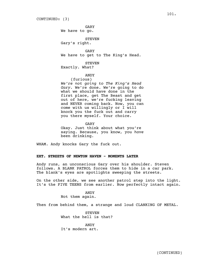GARY

We have to go.

## STEVEN

Gary's right.

GARY We have to get to The King's Head.

STEVEN Exactly. What?

#### ANDY

### (furious)

*We're not going to The King's Head Gary.* We're done. We're going to do what we should have done in the first place, get The Beast and get out of here, we're fucking leaving and NEVER coming back. Now, you can come with us willingly or I will knock you the fuck out and carry you there myself. Your choice.

GARY

Okay. Just think about what you're saying. Because, you know, you *have* been drinking.

WHAM. Andy knocks Gary the fuck out.

# **EXT. STREETS OF NEWTON HAVEN - MOMENTS LATER**

Andy runs, an unconscious Gary over his shoulder. Steven follows. A BLANK PATROL forces them to hide in a car park. The blank's eyes are spotlights sweeping the streets.

On the other side, we see another patrol step into the light. It's the FIVE TEENS from earlier. Now perfectly intact again.

> ANDY Not them again.

Then from behind them, a strange and loud CLANKING OF METAL.

STEVEN What the hell is that?

ANDY It's modern art.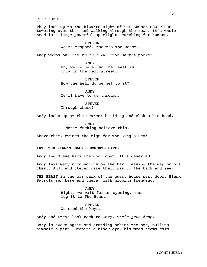#### CONTINUED:

They look up to the bizarre sight of THE BRONZE SCULPTURE towering over them and walking through the town. It's whole head is a large powerful spotlight searching for humans.

> STEVEN We're trapped. Where's The Beast?

Andy whips out the TOURIST MAP from Gary's pocket.

ANDY Uh, we're here, so The Beast is only in the next street.

STEVEN How the hell do we get to it?

ANDY We'll have to go through.

STEVEN Through where?

Andy looks up at the nearest building and shakes his head.

ANDY

I don't fucking believe this.

Above them, swings the sign for The King's Head.

# **INT. THE KING'S HEAD - MOMENTS LATER**

Andy and Steve kick the door open. It's deserted.

Andy lays Gary unconscious on the bar, leaving the map on his chest. Andy and Steven make their way to the back and see-

THE BEAST in the car park of the guest house next door. Blank Patrols run here and there, with growing frequency.

> ANDY Right, we wait for an opening, then leg it to The Beast.

STEVEN We need the keys.

Andy and Steve look back to Gary. *Their jaws drop*.

Gary is awake again and standing behind the bar, pulling himself a pint. Despite a black eye, his mood seems calm.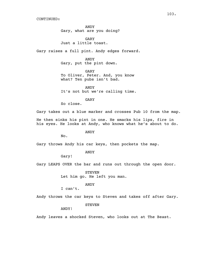CONTINUED:

ANDY Gary, what are you doing?

GARY Just a little toast.

Gary raises a full pint. Andy edges forward.

ANDY Gary, put the pint down.

GARY To Oliver, Peter. And, you know what? Ten pubs isn't bad.

ANDY It's not but we're calling time.

GARY So close.

Gary takes out a blue marker and crosses Pub 10 from the map.

He then sinks his pint in one. He smacks his lips, fire in his eyes. He looks at Andy, who knows what he's about to do.

ANDY

No.

Gary throws Andy his car keys, then pockets the map.

ANDY

Gary!

Gary LEAPS OVER the bar and runs out through the open door.

STEVEN Let him go. He left you man.

ANDY

I can't.

Andy throws the car keys to Steven and takes off after Gary.

STEVEN

ANDY!

Andy leaves a shocked Steven, who looks out at The Beast.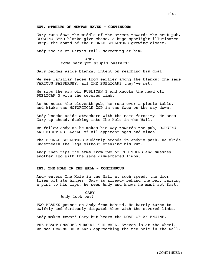#### **EXT. STREETS OF NEWTON HAVEN - CONTINUOUS**

Gary runs down the middle of the street towards the next pub. GLOWING EYED blanks give chase. A huge spotlight illuminates Gary, the sound of the BRONZE SCULPTURE growing closer.

Andy too is on Gary's tail, screaming at him.

### ANDY

Come back you stupid bastard!

Gary barges aside blanks, intent on reaching his goal.

We see familiar faces from earlier among the blanks: The same VARIOUS PASSERSBY, all THE PUBLICANS they've met.

He rips the arm off PUBLICAN 1 and knocks the head off PUBLICAN 3 with the severed limb.

As he nears the eleventh pub, he runs over a picnic table, and kicks the MOTORCYCLE COP in the face on the way down.

Andy knocks aside attackers with the same ferocity. He sees Gary up ahead, ducking into The Hole in the Wall.

We follow Andy as he makes his way towards the pub, DODGING AND FIGHTING BLANKS of all apparent ages and sizes.

The BRONZE SCULPTURE suddenly stands in Andy's path. He skids underneath the legs without breaking his run.

Andy then rips the arms from two of THE TEENS and smashes another two with the same dismembered limbs.

#### **INT. THE HOLE IN THE WALL - CONTINUOUS**

Andy enters The Hole in the Wall at such speed, the door flies off its hinges. Gary is already behind the bar, raising a pint to his lips, he sees Andy and knows he must act fast.

# GARY

Andy look out!

TWO BLANKS pounce on Andy from behind. He barely turns to swiftly and furiously dispatch them with the severed limbs.

Andy makes toward Gary but hears the ROAR OF AN ENGINE.

THE BEAST SMASHES THROUGH THE WALL. Steven is at the wheel. We see SWARMS OF BLANKS approaching the new hole in the wall.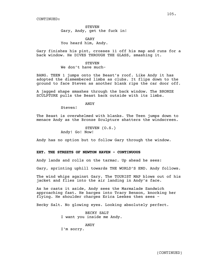STEVEN Gary, Andy, get the fuck in!

GARY You heard him, Andy.

Gary finishes his pint, crosses 11 off his map and runs for a back window. He DIVES THROUGH THE GLASS, smashing it.

> STEVEN We don't have much-

BANG. TEEN 1 jumps onto the Beast's roof. Like Andy it has adopted the dismembered limbs as clubs. It flips down to the ground to face Steven as another blank rips the car door off.

A jagged shape smashes through the back window. The BRONZE SCULPTURE pulls the Beast back outside with its limbs.

ANDY

Steven!

The Beast is overwhelmed with blanks. The Teen jumps down to menace Andy as the Bronze Sculpture shatters the windscreen.

> STEVEN (O.S.) Andy! Go! Now!

Andy has no option but to follow Gary through the window.

### **EXT. THE STREETS OF NEWTON HAVEN - CONTINUOUS**

Andy lands and rolls on the tarmac. Up ahead he sees:

Gary, sprinting uphill towards THE WORLD'S END. Andy follows.

The wind whips against Gary. The TOURIST MAP blows out of his jacket and flies into the air landing in Andy's face.

As he casts it aside, Andy sees the Marmalade Sandwich approaching fast. He barges into Tracy Benson, knocking her flying. He shoulder charges Erica Leekes then sees -

Becky Salt. No glowing eyes. Looking absolutely perfect.

BECKY SALT I want you inside me Andy.

ANDY

I'm sorry.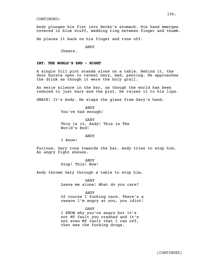Andy plunges his fist into Becky's stomach. His hand emerges covered in blue stuff, wedding ring between finger and thumb.

He places it back on his finger and runs off.

ANDY

Cheers.

### **INT. THE WORLD'S END - NIGHT**

A single full pint stands alone on a table. Behind it, the door bursts open to reveal Gary, mad, panting. He approaches the drink as though it were the holy grail.

An eerie silence in the bar, as though the world has been reduced to just Gary and the pint. He raises it to his lips.

SMACK! It's Andy. He slaps the glass from Gary's hand.

ANDY You've had enough!

GARY This is it, Andy! This is The World's End!

ANDY

I know!

Furious, Gary runs towards the bar. Andy tries to stop him. An angry fight ensues.

ANDY

Stop! This! Now!

Andy throws Gary through a table to stop him.

GARY Leave me alone! What do you care?

ANDY Of course I fucking care. There's a reason I'm angry at you, you idiot!

GARY I KNOW why you're angry but it's not MY fault you crashed and it's not even MY fault that I ran off, that was the fucking drugs.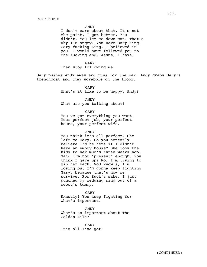ANDY

I don't care about that. It's not the point. I got better. You didn't. You let me down man. That's why I'm angry. You were Gary King. Gary fucking King. I believed in you. I would have followed you to the fucking end. Jesus, I have!

GARY Then stop following me!

Gary pushes Andy away and runs for the bar. Andy grabs Gary's trenchcoat and they scrabble on the floor.

> GARY What's it like to be happy, Andy?

ANDY What are you talking about?

GARY

You've got everything you want. Your perfect job, your perfect house, your perfect wife.

ANDY

You think it's all perfect? She left me Gary. Do you honestly believe I'd be here if I didn't have an empty house? She took the kids to her mum's three weeks ago. Said I'm not "present" enough. You think I gave up? No, I'm trying to win her back. God know's, I'm losing but I'm gonna keep fighting Gary, because that's how we survive. For fuck's sake, I just punched my wedding ring out of a robot's tummy.

GARY

Exactly! You keep fighting for what's important.

ANDY What's so important about The Golden Mile?

GARY It's all I've got!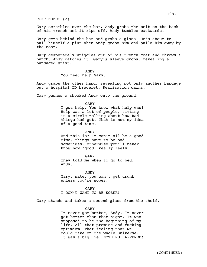Gary scrambles over the bar. Andy grabs the belt on the back of his trench and it rips off. Andy tumbles backwards.

Gary gets behind the bar and grabs a glass. He's about to pull himself a pint when Andy grabs him and pulls him away by the coat.

Gary desperately wriggles out of his trench-coat and throws a punch. Andy catches it. Gary's sleeve drops, revealing a bandaged wrist.

ANDY

You need help Gary.

Andy grabs the other hand, revealing not only another bandage but a hospital ID bracelet. Realisation dawns.

Gary pushes a shocked Andy onto the ground.

GARY

I got help. You know what help was? Help was a lot of people, sitting in a circle talking about how bad things had got. That is not my idea of a good time.

ANDY

And this is? It can't all be a good time, things have to be bad sometimes, otherwise you'll never know how 'good' really feels.

GARY They told me when to go to bed, Andy.

ANDY Gary, mate, you can't get drunk unless you're sober.

GARY I DON'T WANT TO BE SOBER!

Gary stands and takes a second glass from the shelf.

GARY

It never got better, Andy. It never got better than that night. It was supposed to be the beginning of my life. All that promise and fucking optimism. That feeling that we could take on the whole universe. It was a big lie. NOTHING HAPPENED!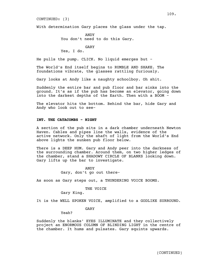## CONTINUED: (3)

With determination Gary places the glass under the tap.

ANDY You don't need to do this Gary.

# GARY

Yes, I do.

He pulls the pump. CLICK. No liquid emerges but -

The World's End itself begins to RUMBLE AND SHAKE. The foundations vibrate, the glasses rattling furiously.

Gary looks at Andy like a naughty schoolboy. Oh shit.

Suddenly the entire bar and pub floor and bar sinks into the ground. It's as if the pub has become an elevator, going down into the darkest depths of the Earth. Then with a BOOM -

The elevator hits the bottom. Behind the bar, hide Gary and Andy who look out to see-

# **INT. THE CATACOMBS - NIGHT**

A section of the pub sits in a dark chamber underneath Newton Haven. Cables and pipes line the walls, evidence of the active network. Only the shaft of light from the World's End above lights the sunken pub floor below.

There is a DEEP HUM. Gary and Andy peer into the darkness of the surrounding chamber. Around them, on two higher ledges of the chamber, stand a SHADOWY CIRCLE OF BLANKS looking down. Gary lifts up the bar to investigate.

> ANDY Gary, don't go out there-

As soon as Gary steps out, a THUNDERING VOICE BOOMS.

THE VOICE

Gary King.

It is the WELL SPOKEN VOICE, amplified to a GODLIKE SURROUND.

GARY

Yeah?

Suddenly the blanks' EYES ILLUMINATE and they collectively project an ENORMOUS COLUMN OF BLINDING LIGHT in the centre of the chamber. It hums and pulsates. Gary squints upwards.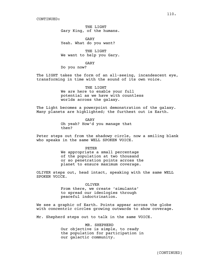THE LIGHT Gary King, of the humans.

GARY Yeah. What do you want?

THE LIGHT We want to help you Gary.

GARY

Do you now?

The LIGHT takes the form of an all-seeing, incandescent eye, transforming in time with the sound of its own voice.

> THE LIGHT We are here to enable your full potential as we have with countless worlds across the galaxy.

The Light becomes a powerpoint demonstration of the galaxy. Many planets are highlighted; the furthest out is Earth.

> GARY Oh yeah? How'd you manage that then?

Peter steps out from the shadowy circle, now a smiling blank who speaks in the same WELL SPOKEN VOICE.

> PETER We appropriate a small percentage of the population at two thousand or so penetration points across the planet to ensure maximum coverage.

OLIVER steps out, head intact, speaking with the same WELL SPOKEN VOICE.

> OLIVER From there, we create 'simulants' to spread our ideologies through peaceful indoctrination.

We see a graphic of Earth. Points appear across the globe with concentric circles growing outwards to show coverage.

Mr. Shepherd steps out to talk in the same VOICE.

MR. SHEPHERD Our objective is simple, to ready the population for participation in our galactic community.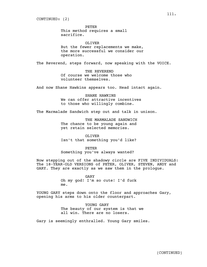PETER

This method requires a small sacrifice.

OLIVER But the fewer replacements we make, the more successful we consider our operation.

The Reverend, steps forward, now speaking with the VOICE.

THE REVEREND Of course we welcome those who volunteer themselves.

And now Shane Hawkins appears too. Head intact again.

SHANE HAWKINS We can offer attractive incentives to those who willingly combine.

The Marmalade Sandwich step out and talk in unison.

THE MARMALADE SANDWICH The chance to be young again and yet retain selected memories.

OLIVER Isn't that something you'd like?

PETER Something you've always wanted?

Now stepping out of the shadowy circle are FIVE INDIVIDUALS: The 18-YEAR-OLD VERSIONS of PETER, OLIVER, STEVEN, ANDY and GARY. They are exactly as we saw them in the prologue.

> GARY Oh my god! I'm so cute! I'd fuck me.

YOUNG GARY steps down onto the floor and approaches Gary, opening his arms to his older counterpart.

> YOUNG GARY The beauty of our system is that we all win. There are no losers.

Gary is seemingly enthralled. Young Gary smiles.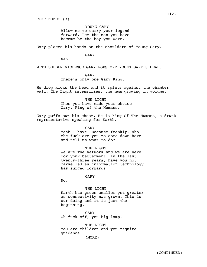YOUNG GARY Allow me to carry your legend forward. Let the man you have become be the boy you were.

Gary places his hands on the shoulders of Young Gary.

GARY

Nah.

WITH SUDDEN VIOLENCE GARY POPS OFF YOUNG GARY'S HEAD.

GARY

There's only one Gary King.

He drop kicks the head and it splats against the chamber wall. The Light intensifies, the hum growing in volume.

> THE LIGHT Then you have made your choice Gary, King of the Humans.

Gary puffs out his chest. He is King Of The Humans, a drunk representative speaking for Earth.

GARY

Yeah I have. Because frankly, who the fuck are you to come down here and tell us what to do?

THE LIGHT

We are The Network and we are here for your betterment. In the last twenty-three years, have you not marvelled as information technology has surged forward?

GARY

No.

THE LIGHT

Earth has grown smaller yet greater as connectivity has grown. This is our doing and it is just the beginning.

GARY Oh fuck off, you big lamp.

THE LIGHT You are children and you require guidance. (MORE)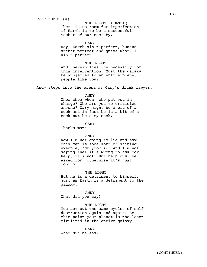There is no room for imperfection if Earth is to be a successful member of our society. THE LIGHT (CONT'D)

GARY

Hey, Earth ain't perfect, humans aren't perfect and guess what? I ain't perfect.

THE LIGHT

And therein lies the necessity for this intervention. Must the galaxy be subjected to an entire planet of people like you?

Andy steps into the arena as Gary's drunk lawyer.

ANDY

Whoa whoa whoa, who put you in charge? Who are you to criticize anyone? Gary might be a bit of a cock and in fact he is a bit of a cock but he's my cock.

GARY

Thanks mate.

#### ANDY

Now I'm not going to lie and say this man is some sort of shining example, *far from it*. And I'm not saying that it's wrong to ask for help, it's not. But help must be asked for, otherwise it's just control.

THE LIGHT

But he is a detriment to himself, just as Earth is a detriment to the galaxy.

ANDY What did you say?

## THE LIGHT

You act out the same cycles of self destruction again and again. At this point your planet is the least civilized in the entire galaxy.

GARY What did he say?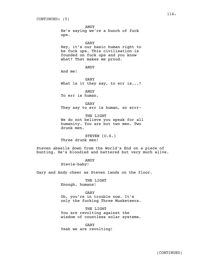ANDY He's saying we're a bunch of fuck ups. GARY Hey, it's our basic human right to be fuck ups. This civilisation is founded on fuck ups and you know what? That makes me proud. ANDY And me! GARY What is it they say, to err is...?

ANDY To err is human.

GARY They say to err is human, so errr-

THE LIGHT We do not believe you speak for all humanity. You are but two men. Two drunk men.

STEVEN (O.S.) Three drunk men!

Steven abseils down from the World's End on a piece of bunting. He's bloodied and battered but very much alive.

> ANDY Stevie-baby!

Gary and Andy cheer as Steven lands on the floor.

THE LIGHT Enough, humans!

GARY

Oh, you're in trouble now. It's only the fucking Three Musketeers.

THE LIGHT You are revolting against the wisdom of countless solar systems.

GARY Yeah we are revolting!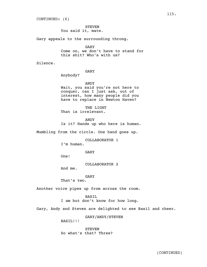STEVEN

You said it, mate.

Gary appeals to the surrounding throng.

### GARY

Come on, we don't have to stand for this shit? Who's with us?

Silence.

GARY

Anybody?

ANDY

Wait, you said you're not here to conquer, can I just ask, out of interest, how many people did you have to replace in Newton Haven?

THE LIGHT That is irrelevant.

ANDY Is it? Hands up who here is human.

Mumbling from the circle. One hand goes up.

COLLABORATOR 1

I'm human.

GARY

One!

COLLABORATOR 2

And me.

GARY

That's two.

Another voice pipes up from across the room.

BASIL

I am but don't know for how long.

Gary, Andy and Steven are delighted to see Basil and cheer.

GARY/ANDY/STEVEN

BASIL!!!

STEVEN So what's that? Three?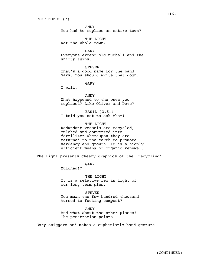# CONTINUED: (7)

ANDY You had to replace an entire town?

THE LIGHT Not the whole town.

GARY Everyone except old nutball and the shifty twins.

STEVEN That's a good name for the band Gary. You should write that down.

GARY

I will.

ANDY What happened to the ones you replaced? Like Oliver and Pete?

BASIL (O.S.) I told you not to ask that!

THE LIGHT Redundant vessels are recycled, mulched and converted into fertilizer whereupon they are returned to the earth to promote verdancy and growth. It is a highly efficient means of organic renewal.

The Light presents cheery graphics of the 'recycling'.

GARY

Mulched!?

THE LIGHT It is a relative few in light of our long term plan.

STEVEN You mean the few hundred thousand turned to fucking compost?

ANDY And what about the other places? The penetration points.

Gary sniggers and makes a euphemistic hand gesture.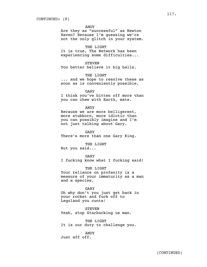ANDY

Are they as "successful" as Newton Haven? Because I'm guessing we're not the only glitch in your system.

### THE LIGHT

It is true, The Network has been experiencing some difficulties...

STEVEN You better believe it big balls.

THE LIGHT ... and we hope to resolve these as soon as is conveniently possible.

GARY

I think you've bitten off more than you can chew with Earth, mate.

ANDY

Because we are more belligerent, more stubborn, more idiotic than you can possibly imagine and I'm not just talking about Gary.

GARY There's more than one Gary King.

THE LIGHT But you said...

GARY I fucking know what I fucking said!

THE LIGHT Your reliance on profanity is a measure of your immaturity as a man and a species.

### GARY

Oh why don't you just get back in your rocket and fuck off to Legoland you cunts!

STEVEN Yeah, stop Starbucking us man.

THE LIGHT It is our duty to challenge you.

ANDY Just eff off.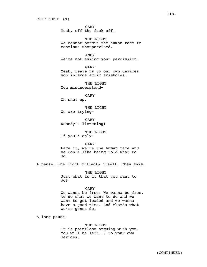GARY Yeah, eff the fuck off.

THE LIGHT We cannot permit the human race to continue unsupervised.

ANDY We're not asking your permission.

GARY Yeah, leave us to our own devices you intergalactic arseholes.

THE LIGHT You misunderstand-

GARY

Oh shut up.

THE LIGHT We are trying-

GARY Nobody's listening!

THE LIGHT

If you'd only-

GARY

Face it, we're the human race and we don't like being told what to do.

A pause. The Light collects itself. Then asks.

THE LIGHT Just what is it that you want to do?

## GARY

We wanna be free. We wanna be free, to do what we want to do and we want to get loaded and we wanna have a good time. And that's what we're gonna do.

A long pause.

### THE LIGHT

It is pointless arguing with you. You will be left... to your own devices.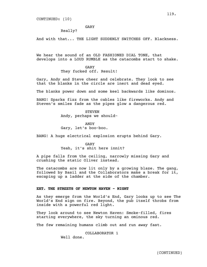CONTINUED: (10)

# GARY

Really?

And with that... THE LIGHT SUDDENLY SWITCHES OFF. Blackness.

We hear the sound of an OLD FASHIONED DIAL TONE, that develops into a LOUD RUMBLE as the catacombs start to shake.

> GARY They fucked off. Result!

Gary, Andy and Steve cheer and celebrate. They look to see that the blanks in the circle are inert and dead eyed.

The blanks power down and some keel backwards like dominos.

BANG! Sparks fizz from the cables like fireworks. Andy and Steven's smiles fade as the pipes glow a dangerous red.

> STEVEN Andy, perhaps we should-

ANDY Gary, let's boo-boo.

BANG! A huge electrical explosion erupts behind Gary.

GARY Yeah, it's shit here innit?

A pipe falls from the ceiling, narrowly missing Gary and crushing the static Oliver instead.

The catacombs are now lit only by a growing blaze. The gang, followed by Basil and the Collaborators make a break for it, escaping up a ladder at the side of the chamber.

## **EXT. THE STREETS OF NEWTON HAVEN - NIGHT**

As they emerge from the World's End, Gary looks up to see The World's End sign on fire. Beyond, the pub itself throbs from inside with a powerful red light.

They look around to see Newton Haven: Smoke-filled, fires starting everywhere, the sky turning an ominous red.

The few remaining humans climb out and run away fast.

COLLABORATOR 1

Well done.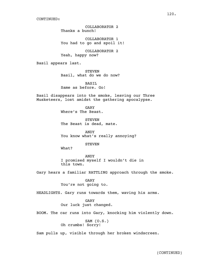CONTINUED:

COLLABORATOR 2 Thanks a bunch!

COLLABORATOR 1 You had to go and spoil it!

COLLABORATOR 2 Yeah, happy now?

Basil appears last.

STEVEN Basil, what do we do now?

BASIL Same as before. Go!

Basil disappears into the smoke, leaving our Three Musketeers, lost amidst the gathering apocalypse.

> GARY Where's The Beast.

STEVEN The Beast is dead, mate.

ANDY You know what's really annoying?

STEVEN

What?

ANDY I promised myself I wouldn't die in this town.

Gary hears a familiar RATTLING approach through the smoke.

GARY You're not going to.

HEADLIGHTS. Gary runs towards them, waving his arms.

GARY Our luck just changed.

BOOM. The car runs into Gary, knocking him violently down.

SAM (O.S.) Oh crumbs! Sorry!

Sam pulls up, visible through her broken windscreen.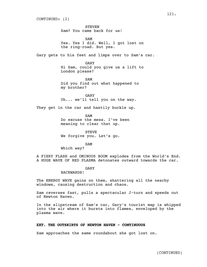STEVEN Sam? You came back for us!

SAM Yes. Yes I did. Well, I got lost on the ring-road. But yes.

Gary gets to his feet and limps over to Sam's car.

GARY Hi Sam, could you give us a lift to London please?

SAM Did you find out what happened to my brother?

GARY Uh... we'll tell you on the way.

They get in the car and hastily buckle up.

SAM Do excuse the mess. I've been meaning to clear that up.

STEVE We forgive you. Let's go.

SAM

Which way?

A FIERY FLASH and OMINOUS BOOM explodes from the World's End. A HUGE WAVE OF RED PLASMA detonates outward towards the car.

## GARY

BACKWARDS!

The ENERGY WAVE gains on them, shattering all the nearby windows, causing destruction and chaos.

Sam reverses fast, pulls a spectacular J-turn and speeds out of Newton Haven.

In the slipstream of Sam's car, Gary's tourist map is whipped into the air where it bursts into flames, enveloped by the plasma wave.

### **EXT. THE OUTSKIRTS OF NEWTON HAVEN - CONTINUOUS**

Sam approaches the same roundabout she got lost on.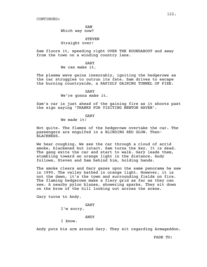SAM Which way now?

# STEVEN

Straight over!

Sam floors it, speeding right OVER THE ROUNDABOUT and away from the town on a winding country lane.

# GARY

We can make it.

The plasma wave gains inexorably, igniting the hedgerows as the car struggles to outrun its fate. Sam drives to escape the burning countryside, a RAPIDLY GAINING TUNNEL OF FIRE.

GARY

We're gonna make it.

Sam's car is just ahead of the gaining fire as it shoots past the sign saying 'THANKS FOR VISITING NEWTON HAVEN'.

### GARY

We made it!

Not quite. The flames of the hedgerows overtake the car. The passengers are engulfed in a BLINDING RED GLOW. Then-BLACKNESS.

We hear coughing. We see the car through a cloud of acrid smoke, blackened but intact. Sam turns the key. It is dead. The gang exits the car and start to walk. Gary leads them, stumbling toward an orange light in the distance. Andy follows, Steven and Sam behind him, holding hands.

The smoke clears and Gary gazes upon the same panorama he saw in 1990. The valley bathed in orange light. However, it is not the dawn, it's the town and surrounding fields on fire. The flaming hedgerows make a fiery grid as far as they can see. A nearby pylon blazes, showering sparks. They sit down on the brow of the hill looking out across the scene.

Gary turns to Andy.

### GARY

I'm sorry.

ANDY

I know.

Andy puts his arm around Gary. They sit regarding Armageddon.

FADE TO: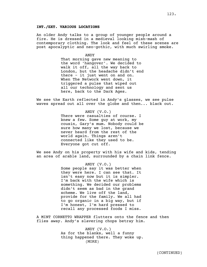### **INT./EXT. VARIOUS LOCATIONS**

An older Andy talks to a group of younger people around a fire. He is dressed in a medieval looking mish-mash of contemporary clothing. The look and feel of these scenes are post apocalyptic and neo-gothic, with much swirling smoke.

ANDY

That morning gave new meaning to the word 'hangover'. We decided to walk it off, all the way back to London, but the headache didn't end there - it just went on and on. When The Network went down, it triggered a pulse that wiped out all our technology and sent us here, back to the Dark Ages.

We see the Earth reflected in Andy's glasses, we see pulse waves spread out all over the globe and then... black out.

## ANDY (V.O.)

There were casualties of course. I knew a few. Some guy at work, my cousin, Gary's mum. Nobody could be sure how many we lost, because we never heard from the rest of the world again. Things aren't connected like they used to be. Everyone got cut off.

We see Andy on his property with his wife and kids, tending an area of arable land, surrounded by a chain link fence.

> ANDY (V.O.) Some people say it was better when they were here. I can see that. It isn't easy now but it is simpler. I'm back with the wife which is something. We decided our problems didn't seem as bad in the grand scheme. We live off the land, provide for the family. We all had to go organic in a big way, but if I'm honest, I'm hard pressed to recall any processed foods I miss.

A MINT CORNETTO WRAPPER flutters onto the fence and then flies away. Andy's slavering chops betray him.

> ANDY (V.O.) As for the blanks, well a funny thing happened there. They woke up. (MORE)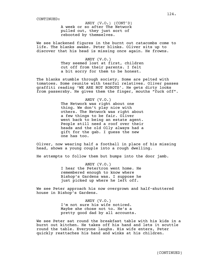A week or so after The Network pulled out, they just sort of rebooted by themselves. ANDY (V.O.) (CONT'D)

We see blackened figures in the burnt out catacombs come to life. The blanks awake. Peter blinks. Oliver sits up to discover that his head is missing once again. He frowns.

> ANDY (V.O.) They seemed lost at first, children cut off from their parents. I felt a bit sorry for them to be honest.

The blanks stumble through society. Some are pelted with tomatoes. Some reunite with tearful relatives. Oliver passes graffiti reading 'WE ARE NOT ROBOTS'. He gets dirty looks from passersby. He gives them the finger, mouths "fuck off".

ANDY (V.O.)

The Network was right about one thing. We don't play nice with others. The Network was right about a few things to be fair. Oliver went back to being an estate agent. People still need a roof over their heads and the old Olly always had a gift for the gab. I guess the new one has too.

Oliver, now wearing half a football in place of his missing head, shows a young couple into a rough dwelling.

He attempts to follow them but bumps into the door jamb.

ANDY (V.O.) I hear the Petertron went home. He remembered enough to know where Bishop's Gardens was. I suppose he just picked up where he left off.

We see Peter approach his now overgrown and half-shuttered house in Bishop's Gardens.

> ANDY (V.O.) I'm not sure his wife noticed. Maybe she chose not to. He's a pretty good dad by all accounts.

We see Peter sat round the breakfast table with his kids in a burnt out kitchen. He takes off his hand and lets it scuttle round the table. Everyone laughs. His wife enters, Peter quickly reattaches his hand and winks at his children.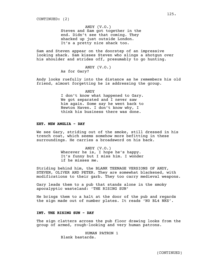## ANDY (V.O.)

Steven and Sam got together in the end. Didn't see that coming. They shacked up just outside London. It's a pretty nice shack too.

Sam and Steven appear on the doorstep of an impressive looking shack. Sam kisses Steven who slings a shotgun over his shoulder and strides off, presumably to go hunting.

## ANDY (V.O.) As for Gary?

Andy looks ruefully into the distance as he remembers his old friend, almost forgetting he is addressing the group.

### ANDY

I don't know what happened to Gary. We got separated and I never saw him again. Some say he went back to Newton Haven. I don't know why, I think his business there was done.

## **EXT. NEW ANGLIA - DAY**

We see Gary, striding out of the smoke, still dressed in his trench coat, which seems somehow more befitting in these surroundings. He carries a broadsword on his back.

> ANDY (V.O.) Wherever he is, I hope he's happy. It's funny but I miss him. I wonder if he misses me.

Striding behind him, the BLANK TEENAGE VERSIONS OF ANDY, STEVEN, OLIVER AND PETER. They are somewhat blackened, with modifications to their garb. They too carry medieval weapons.

Gary leads them to a pub that stands alone in the smoky apocalyptic wasteland: 'THE RISING SUN'

He brings them to a halt at the door of the pub and regards the sign made out of number plates. It reads 'N0 BL4 NKS'.

# **INT. THE RISING SUN - DAY**

The sign clatters across the pub floor drawing looks from the group of armed, rough-looking and very human patrons.

> HUMAN PATRON 1 Blank bastards.